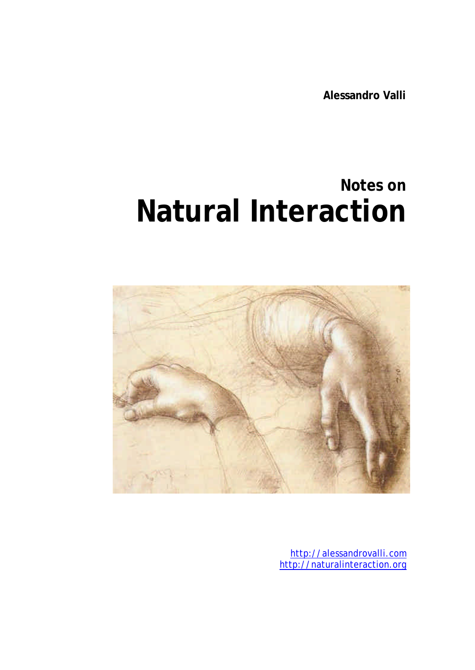**Alessandro Valli**

# **Notes on Natural Interaction**



http://alessandrovalli.com http://naturalinteraction.org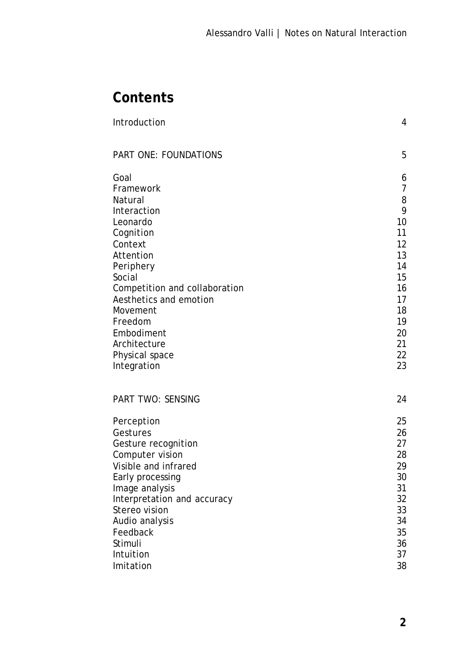# **Contents**

| Introduction                                 | 4               |
|----------------------------------------------|-----------------|
| PART ONE: FOUNDATIONS                        | 5               |
| Goal                                         | 6               |
| Framework                                    | $\overline{7}$  |
| Natural                                      | 8<br>9          |
| Interaction                                  | 10              |
| Leonardo<br>Cognition                        | 11              |
| Context                                      | 12              |
| Attention                                    | 13              |
| Periphery                                    | 14              |
| Social                                       | 15              |
| Competition and collaboration                | 16              |
| Aesthetics and emotion                       | 17              |
| Movement                                     | 18              |
| Freedom                                      | 19              |
| Embodiment                                   | 20              |
| Architecture                                 | 21              |
| Physical space                               | 22              |
| Integration                                  | 23              |
| <b>PART TWO: SENSING</b>                     | 24              |
| Perception                                   | 25              |
| Gestures                                     | 26              |
| Gesture recognition                          | 27              |
| Computer vision                              | 28              |
| Visible and infrared                         | 29              |
| Early processing                             | 30 <sup>°</sup> |
| Image analysis                               | 31<br>32        |
| Interpretation and accuracy<br>Stereo vision | 33              |
| Audio analysis                               | 34              |
| Feedback                                     | 35              |
| Stimuli                                      | 36              |
| Intuition                                    | 37              |
| Imitation                                    | 38              |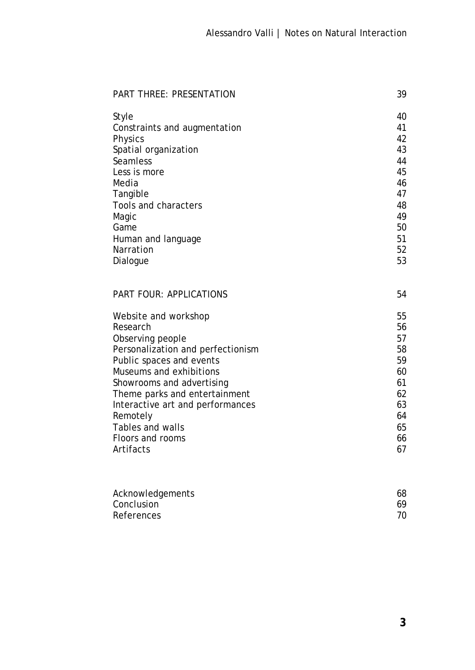| <b>PART THREE: PRESENTATION</b>   | 39       |
|-----------------------------------|----------|
| Style                             | 40       |
| Constraints and augmentation      | 41       |
| <b>Physics</b>                    | 42       |
| Spatial organization              | 43       |
| Seamless                          | 44       |
| Less is more                      | 45       |
| Media                             | 46       |
| Tangible                          | 47       |
| Tools and characters              | 48       |
| Magic                             | 49       |
| Game                              | 50<br>51 |
| Human and language<br>Narration   | 52       |
| Dialogue                          | 53       |
|                                   |          |
| PART FOUR: APPLICATIONS           | 54       |
| Website and workshop              | 55       |
| Research                          | 56       |
| Observing people                  | 57       |
| Personalization and perfectionism | 58       |
| Public spaces and events          | 59       |
| Museums and exhibitions           | 60       |
| Showrooms and advertising         | 61       |
| Theme parks and entertainment     | 62       |
| Interactive art and performances  | 63       |
| Remotely                          | 64       |
| Tables and walls                  | 65       |
| Floors and rooms                  | 66       |
| Artifacts                         | 67       |
|                                   |          |
|                                   |          |

| Acknowledgements | 68 |
|------------------|----|
| Conclusion       | 69 |
| References       |    |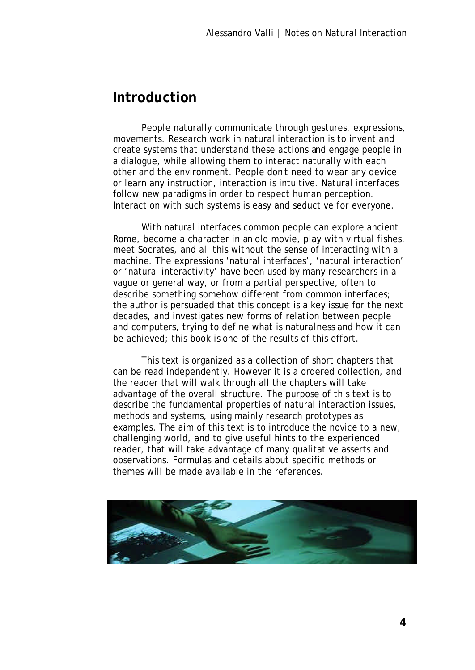#### **Introduction**

People naturally communicate through gestures, expressions, movements. Research work in natural interaction is to invent and create systems that understand these actions and engage people in a dialogue, while allowing them to interact naturally with each other and the environment. People don't need to wear any device or learn any instruction, interaction is intuitive. Natural interfaces follow new paradigms in order to respect human perception. Interaction with such systems is easy and seductive for everyone.

With natural interfaces common people can explore ancient Rome, become a character in an old movie, play with virtual fishes, meet Socrates, and all this without the sense of interacting with a machine. The expressions 'natural interfaces', 'natural interaction' or 'natural interactivity' have been used by many researchers in a vague or general way, or from a partial perspective, often to describe something somehow different from common interfaces; the author is persuaded that this concept is a key issue for the next decades, and investigates new forms of relation between people and computers, trying to define what is naturalness and how it can be achieved; this book is one of the results of this effort.

This text is organized as a collection of short chapters that can be read independently. However it is a ordered collection, and the reader that will walk through all the chapters will take advantage of the overall structure. The purpose of this text is to describe the fundamental properties of natural interaction issues, methods and systems, using mainly research prototypes as examples. The aim of this text is to introduce the novice to a new, challenging world, and to give useful hints to the experienced reader, that will take advantage of many qualitative asserts and observations. Formulas and details about specific methods or themes will be made available in the references.

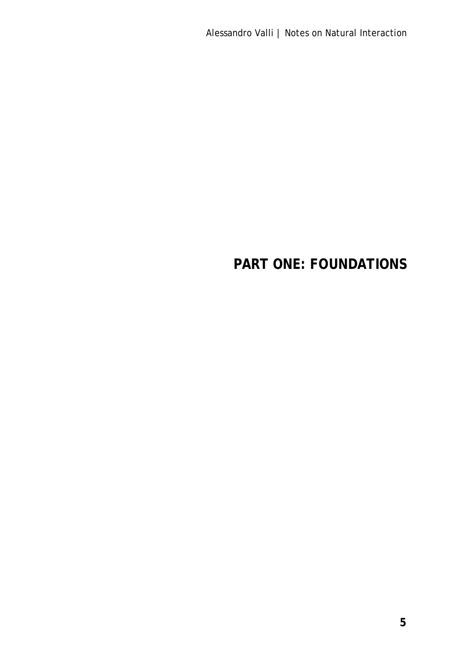Alessandro Valli | Notes on Natural Interaction

# **PART ONE: FOUNDATIONS**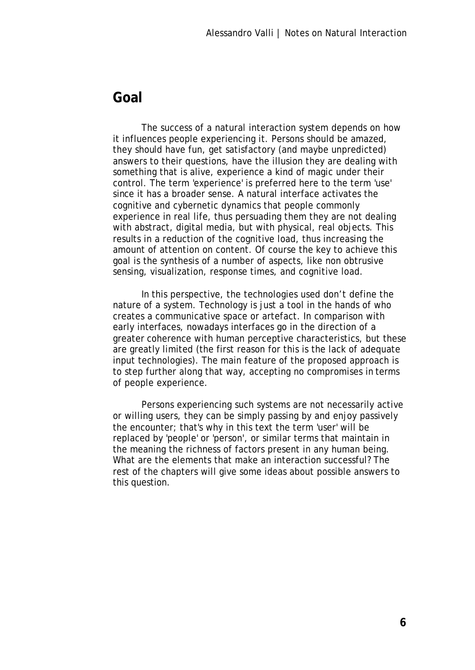#### **Goal**

The success of a natural interaction system depends on how it influences people experiencing it. Persons should be amazed, they should have fun, get satisfactory (and maybe unpredicted) answers to their questions, have the illusion they are dealing with something that is alive, experience a kind of magic under their control. The term 'experience' is preferred here to the term 'use' since it has a broader sense. A natural interface activates the cognitive and cybernetic dynamics that people commonly experience in real life, thus persuading them they are not dealing with abstract, digital media, but with physical, real objects. This results in a reduction of the cognitive load, thus increasing the amount of attention on content. Of course the key to achieve this goal is the synthesis of a number of aspects, like non obtrusive sensing, visualization, response times, and cognitive load.

In this perspective, the technologies used don't define the nature of a system. Technology is just a tool in the hands of who creates a communicative space or artefact. In comparison with early interfaces, nowadays interfaces go in the direction of a greater coherence with human perceptive characteristics, but these are greatly limited (the first reason for this is the lack of adequate input technologies). The main feature of the proposed approach is to step further along that way, accepting no compromises in terms of people experience.

Persons experiencing such systems are not necessarily active or willing users, they can be simply passing by and enjoy passively the encounter; that's why in this text the term 'user' will be replaced by 'people' or 'person', or similar terms that maintain in the meaning the richness of factors present in any human being. What are the elements that make an interaction successful? The rest of the chapters will give some ideas about possible answers to this question.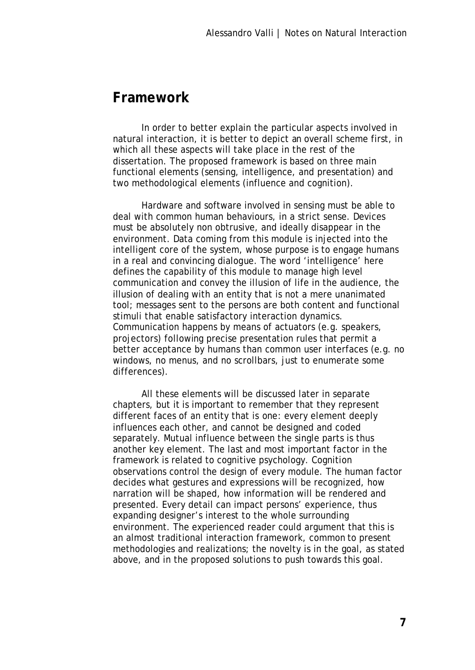#### **Framework**

In order to better explain the particular aspects involved in natural interaction, it is better to depict an overall scheme first, in which all these aspects will take place in the rest of the dissertation. The proposed framework is based on three main functional elements (sensing, intelligence, and presentation) and two methodological elements (influence and cognition).

Hardware and software involved in sensing must be able to deal with common human behaviours, in a strict sense. Devices must be absolutely non obtrusive, and ideally disappear in the environment. Data coming from this module is injected into the intelligent core of the system, whose purpose is to engage humans in a real and convincing dialogue. The word 'intelligence' here defines the capability of this module to manage high level communication and convey the illusion of life in the audience, the illusion of dealing with an entity that is not a mere unanimated tool; messages sent to the persons are both content and functional stimuli that enable satisfactory interaction dynamics. Communication happens by means of actuators (e.g. speakers, projectors) following precise presentation rules that permit a better acceptance by humans than common user interfaces (e.g. no windows, no menus, and no scrollbars, just to enumerate some differences).

All these elements will be discussed later in separate chapters, but it is important to remember that they represent different faces of an entity that is one: every element deeply influences each other, and cannot be designed and coded separately. Mutual influence between the single parts is thus another key element. The last and most important factor in the framework is related to cognitive psychology. Cognition observations control the design of every module. The human factor decides what gestures and expressions will be recognized, how narration will be shaped, how information will be rendered and presented. Every detail can impact persons' experience, thus expanding designer's interest to the whole surrounding environment. The experienced reader could argument that this is an almost traditional interaction framework, common to present methodologies and realizations; the novelty is in the goal, as stated above, and in the proposed solutions to push towards this goal.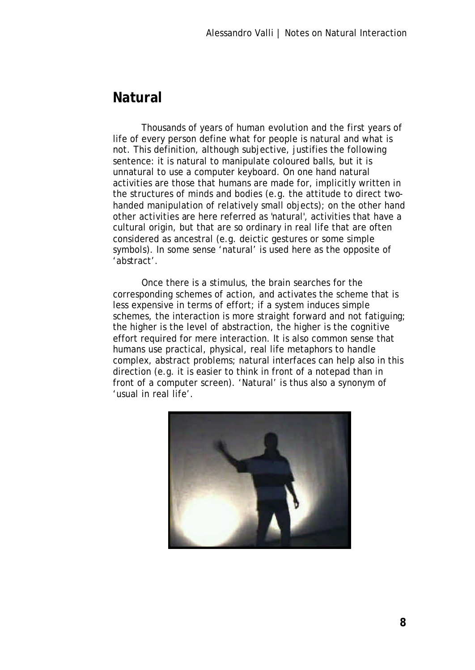## **Natural**

Thousands of years of human evolution and the first years of life of every person define what for people is natural and what is not. This definition, although subjective, justifies the following sentence: it is natural to manipulate coloured balls, but it is unnatural to use a computer keyboard. On one hand natural activities are those that humans are made for, implicitly written in the structures of minds and bodies (e.g. the attitude to direct twohanded manipulation of relatively small objects); on the other hand other activities are here referred as 'natural', activities that have a cultural origin, but that are so ordinary in real life that are often considered as ancestral (e.g. deictic gestures or some simple symbols). In some sense 'natural' is used here as the opposite of 'abstract'.

Once there is a stimulus, the brain searches for the corresponding schemes of action, and activates the scheme that is less expensive in terms of effort; if a system induces simple schemes, the interaction is more straight forward and not fatiguing; the higher is the level of abstraction, the higher is the cognitive effort required for mere interaction. It is also common sense that humans use practical, physical, real life metaphors to handle complex, abstract problems; natural interfaces can help also in this direction (e.g. it is easier to think in front of a notepad than in front of a computer screen). 'Natural' is thus also a synonym of 'usual in real life'.

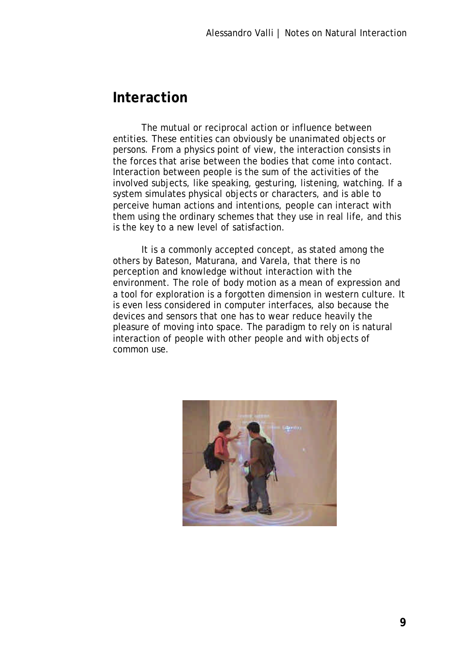#### **Interaction**

The mutual or reciprocal action or influence between entities. These entities can obviously be unanimated objects or persons. From a physics point of view, the interaction consists in the forces that arise between the bodies that come into contact. Interaction between people is the sum of the activities of the involved subjects, like speaking, gesturing, listening, watching. If a system simulates physical objects or characters, and is able to perceive human actions and intentions, people can interact with them using the ordinary schemes that they use in real life, and this is the key to a new level of satisfaction.

It is a commonly accepted concept, as stated among the others by Bateson, Maturana, and Varela, that there is no perception and knowledge without interaction with the environment. The role of body motion as a mean of expression and a tool for exploration is a forgotten dimension in western culture. It is even less considered in computer interfaces, also because the devices and sensors that one has to wear reduce heavily the pleasure of moving into space. The paradigm to rely on is natural interaction of people with other people and with objects of common use.

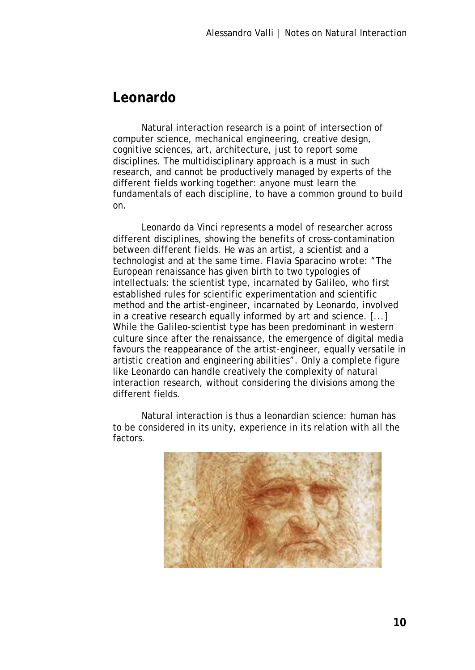#### **Leonardo**

Natural interaction research is a point of intersection of computer science, mechanical engineering, creative design, cognitive sciences, art, architecture, just to report some disciplines. The multidisciplinary approach is a must in such research, and cannot be productively managed by experts of the different fields working together: anyone must learn the fundamentals of each discipline, to have a common ground to build on.

Leonardo da Vinci represents a model of researcher across different disciplines, showing the benefits of cross-contamination between different fields. He was an artist, a scientist and a technologist and at the same time. Flavia Sparacino wrote: "The European renaissance has given birth to two typologies of intellectuals: the scientist type, incarnated by Galileo, who first established rules for scientific experimentation and scientific method and the artist-engineer, incarnated by Leonardo, involved in a creative research equally informed by art and science. [...] While the Galileo-scientist type has been predominant in western culture since after the renaissance, the emergence of digital media favours the reappearance of the artist-engineer, equally versatile in artistic creation and engineering abilities". Only a complete figure like Leonardo can handle creatively the complexity of natural interaction research, without considering the divisions among the different fields.

Natural interaction is thus a leonardian science: human has to be considered in its unity, experience in its relation with all the factors.

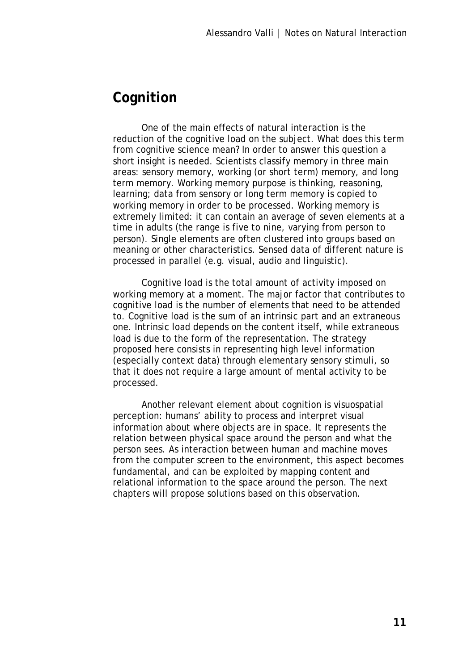## **Cognition**

One of the main effects of natural interaction is the reduction of the cognitive load on the subject. What does this term from cognitive science mean? In order to answer this question a short insight is needed. Scientists classify memory in three main areas: sensory memory, working (or short term) memory, and long term memory. Working memory purpose is thinking, reasoning, learning; data from sensory or long term memory is copied to working memory in order to be processed. Working memory is extremely limited: it can contain an average of seven elements at a time in adults (the range is five to nine, varying from person to person). Single elements are often clustered into groups based on meaning or other characteristics. Sensed data of different nature is processed in parallel (e.g. visual, audio and linguistic).

Cognitive load is the total amount of activity imposed on working memory at a moment. The major factor that contributes to cognitive load is the number of elements that need to be attended to. Cognitive load is the sum of an intrinsic part and an extraneous one. Intrinsic load depends on the content itself, while extraneous load is due to the form of the representation. The strategy proposed here consists in representing high level information (especially context data) through elementary sensory stimuli, so that it does not require a large amount of mental activity to be processed.

Another relevant element about cognition is visuospatial perception: humans' ability to process and interpret visual information about where objects are in space. It represents the relation between physical space around the person and what the person sees. As interaction between human and machine moves from the computer screen to the environment, this aspect becomes fundamental, and can be exploited by mapping content and relational information to the space around the person. The next chapters will propose solutions based on this observation.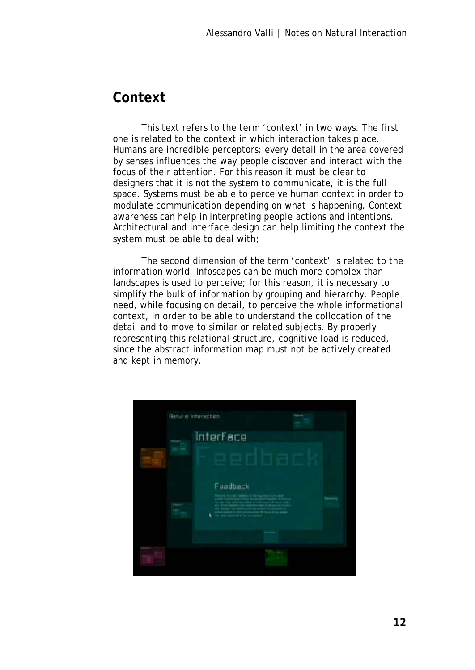## **Context**

This text refers to the term 'context' in two ways. The first one is related to the context in which interaction takes place. Humans are incredible perceptors: every detail in the area covered by senses influences the way people discover and interact with the focus of their attention. For this reason it must be clear to designers that it is not the system to communicate, it is the full space. Systems must be able to perceive human context in order to modulate communication depending on what is happening. Context awareness can help in interpreting people actions and intentions. Architectural and interface design can help limiting the context the system must be able to deal with;

The second dimension of the term 'context' is related to the information world. Infoscapes can be much more complex than landscapes is used to perceive; for this reason, it is necessary to simplify the bulk of information by grouping and hierarchy. People need, while focusing on detail, to perceive the whole informational context, in order to be able to understand the collocation of the detail and to move to similar or related subjects. By properly representing this relational structure, cognitive load is reduced, since the abstract information map must not be actively created and kept in memory.

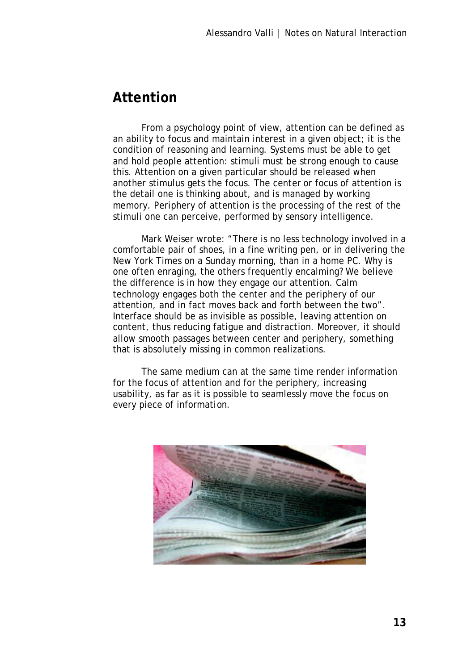#### **Attention**

From a psychology point of view, attention can be defined as an ability to focus and maintain interest in a given object; it is the condition of reasoning and learning. Systems must be able to get and hold people attention: stimuli must be strong enough to cause this. Attention on a given particular should be released when another stimulus gets the focus. The center or focus of attention is the detail one is thinking about, and is managed by working memory. Periphery of attention is the processing of the rest of the stimuli one can perceive, performed by sensory intelligence.

Mark Weiser wrote: "There is no less technology involved in a comfortable pair of shoes, in a fine writing pen, or in delivering the New York Times on a Sunday morning, than in a home PC. Why is one often enraging, the others frequently encalming? We believe the difference is in how they engage our attention. Calm technology engages both the center and the periphery of our attention, and in fact moves back and forth between the two". Interface should be as invisible as possible, leaving attention on content, thus reducing fatigue and distraction. Moreover, it should allow smooth passages between center and periphery, something that is absolutely missing in common realizations.

The same medium can at the same time render information for the focus of attention and for the periphery, increasing usability, as far as it is possible to seamlessly move the focus on every piece of information.

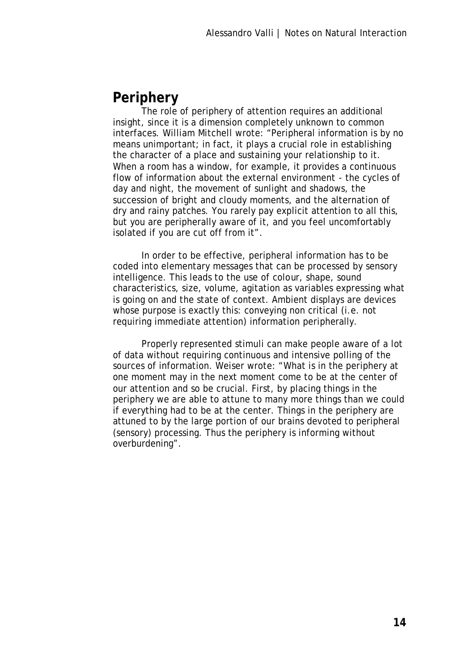## **Periphery**

The role of periphery of attention requires an additional insight, since it is a dimension completely unknown to common interfaces. William Mitchell wrote: "Peripheral information is by no means unimportant; in fact, it plays a crucial role in establishing the character of a place and sustaining your relationship to it. When a room has a window, for example, it provides a continuous flow of information about the external environment - the cycles of day and night, the movement of sunlight and shadows, the succession of bright and cloudy moments, and the alternation of dry and rainy patches. You rarely pay explicit attention to all this, but you are peripherally aware of it, and you feel uncomfortably isolated if you are cut off from it".

In order to be effective, peripheral information has to be coded into elementary messages that can be processed by sensory intelligence. This leads to the use of colour, shape, sound characteristics, size, volume, agitation as variables expressing what is going on and the state of context. Ambient displays are devices whose purpose is exactly this: conveying non critical (i.e. not requiring immediate attention) information peripherally.

Properly represented stimuli can make people aware of a lot of data without requiring continuous and intensive polling of the sources of information. Weiser wrote: "What is in the periphery at one moment may in the next moment come to be at the center of our attention and so be crucial. First, by placing things in the periphery we are able to attune to many more things than we could if everything had to be at the center. Things in the periphery are attuned to by the large portion of our brains devoted to peripheral (sensory) processing. Thus the periphery is informing without overburdening".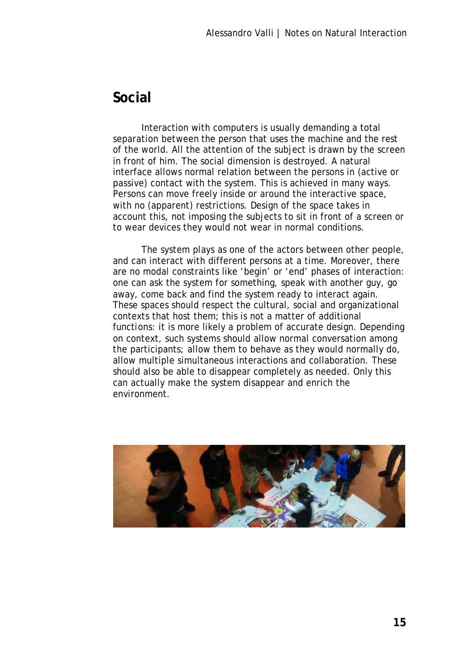#### **Social**

Interaction with computers is usually demanding a total separation between the person that uses the machine and the rest of the world. All the attention of the subject is drawn by the screen in front of him. The social dimension is destroyed. A natural interface allows normal relation between the persons in (active or passive) contact with the system. This is achieved in many ways. Persons can move freely inside or around the interactive space, with no (apparent) restrictions. Design of the space takes in account this, not imposing the subjects to sit in front of a screen or to wear devices they would not wear in normal conditions.

The system plays as one of the actors between other people, and can interact with different persons at a time. Moreover, there are no modal constraints like 'begin' or 'end' phases of interaction: one can ask the system for something, speak with another guy, go away, come back and find the system ready to interact again. These spaces should respect the cultural, social and organizational contexts that host them; this is not a matter of additional functions: it is more likely a problem of accurate design. Depending on context, such systems should allow normal conversation among the participants; allow them to behave as they would normally do, allow multiple simultaneous interactions and collaboration. These should also be able to disappear completely as needed. Only this can actually make the system disappear and enrich the environment.

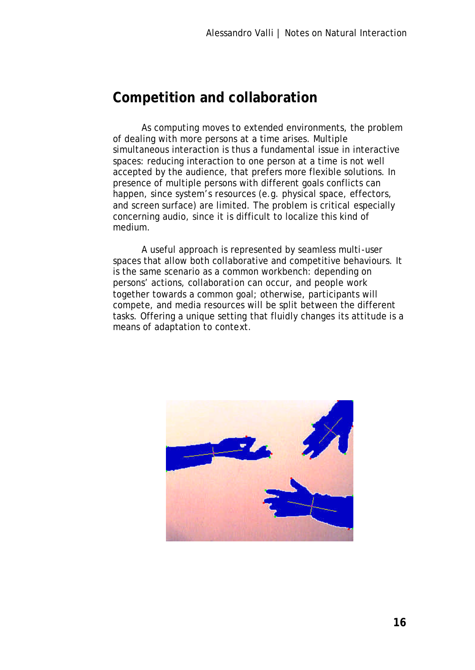## **Competition and collaboration**

As computing moves to extended environments, the problem of dealing with more persons at a time arises. Multiple simultaneous interaction is thus a fundamental issue in interactive spaces: reducing interaction to one person at a time is not well accepted by the audience, that prefers more flexible solutions. In presence of multiple persons with different goals conflicts can happen, since system's resources (e.g. physical space, effectors, and screen surface) are limited. The problem is critical especially concerning audio, since it is difficult to localize this kind of medium.

A useful approach is represented by seamless multi-user spaces that allow both collaborative and competitive behaviours. It is the same scenario as a common workbench: depending on persons' actions, collaboration can occur, and people work together towards a common goal; otherwise, participants will compete, and media resources will be split between the different tasks. Offering a unique setting that fluidly changes its attitude is a means of adaptation to context.

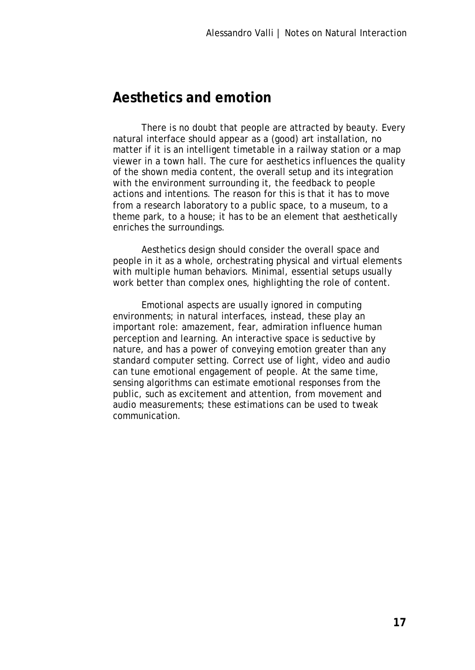## **Aesthetics and emotion**

There is no doubt that people are attracted by beauty. Every natural interface should appear as a (good) art installation, no matter if it is an intelligent timetable in a railway station or a map viewer in a town hall. The cure for aesthetics influences the quality of the shown media content, the overall setup and its integration with the environment surrounding it, the feedback to people actions and intentions. The reason for this is that it has to move from a research laboratory to a public space, to a museum, to a theme park, to a house; it has to be an element that aesthetically enriches the surroundings.

Aesthetics design should consider the overall space and people in it as a whole, orchestrating physical and virtual elements with multiple human behaviors. Minimal, essential setups usually work better than complex ones, highlighting the role of content.

Emotional aspects are usually ignored in computing environments; in natural interfaces, instead, these play an important role: amazement, fear, admiration influence human perception and learning. An interactive space is seductive by nature, and has a power of conveying emotion greater than any standard computer setting. Correct use of light, video and audio can tune emotional engagement of people. At the same time, sensing algorithms can estimate emotional responses from the public, such as excitement and attention, from movement and audio measurements; these estimations can be used to tweak communication.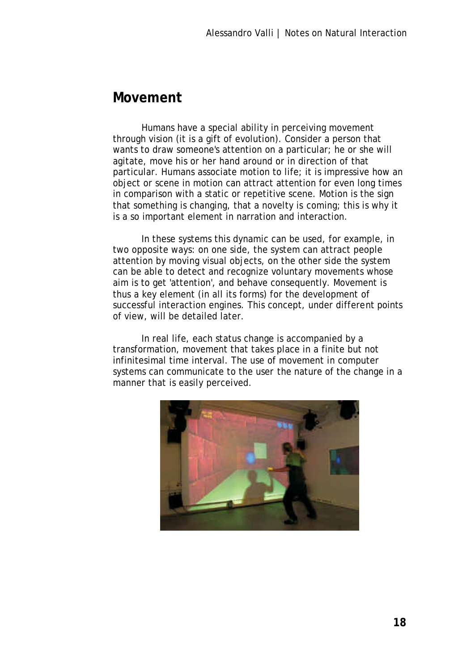#### **Movement**

Humans have a special ability in perceiving movement through vision (it is a gift of evolution). Consider a person that wants to draw someone's attention on a particular; he or she will agitate, move his or her hand around or in direction of that particular. Humans associate motion to life; it is impressive how an object or scene in motion can attract attention for even long times in comparison with a static or repetitive scene. Motion is the sign that something is changing, that a novelty is coming; this is why it is a so important element in narration and interaction.

In these systems this dynamic can be used, for example, in two opposite ways: on one side, the system can attract people attention by moving visual objects, on the other side the system can be able to detect and recognize voluntary movements whose aim is to get 'attention', and behave consequently. Movement is thus a key element (in all its forms) for the development of successful interaction engines. This concept, under different points of view, will be detailed later.

In real life, each status change is accompanied by a transformation, movement that takes place in a finite but not infinitesimal time interval. The use of movement in computer systems can communicate to the user the nature of the change in a manner that is easily perceived.

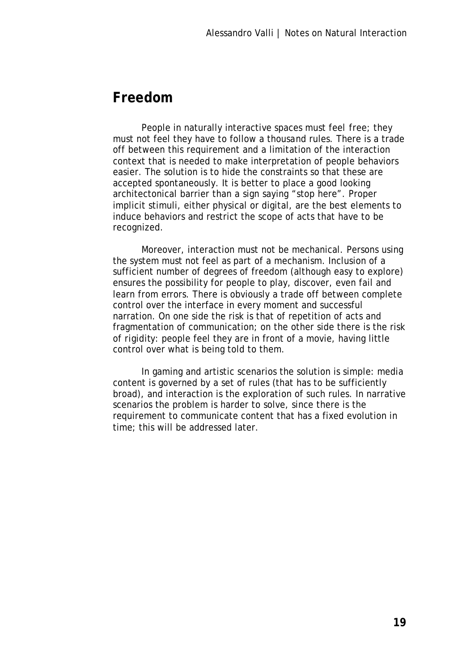#### **Freedom**

People in naturally interactive spaces must feel free; they must not feel they have to follow a thousand rules. There is a trade off between this requirement and a limitation of the interaction context that is needed to make interpretation of people behaviors easier. The solution is to hide the constraints so that these are accepted spontaneously. It is better to place a good looking architectonical barrier than a sign saying "stop here". Proper implicit stimuli, either physical or digital, are the best elements to induce behaviors and restrict the scope of acts that have to be recognized.

Moreover, interaction must not be mechanical. Persons using the system must not feel as part of a mechanism. Inclusion of a sufficient number of degrees of freedom (although easy to explore) ensures the possibility for people to play, discover, even fail and learn from errors. There is obviously a trade off between complete control over the interface in every moment and successful narration. On one side the risk is that of repetition of acts and fragmentation of communication; on the other side there is the risk of rigidity: people feel they are in front of a movie, having little control over what is being told to them.

In gaming and artistic scenarios the solution is simple: media content is governed by a set of rules (that has to be sufficiently broad), and interaction is the exploration of such rules. In narrative scenarios the problem is harder to solve, since there is the requirement to communicate content that has a fixed evolution in time; this will be addressed later.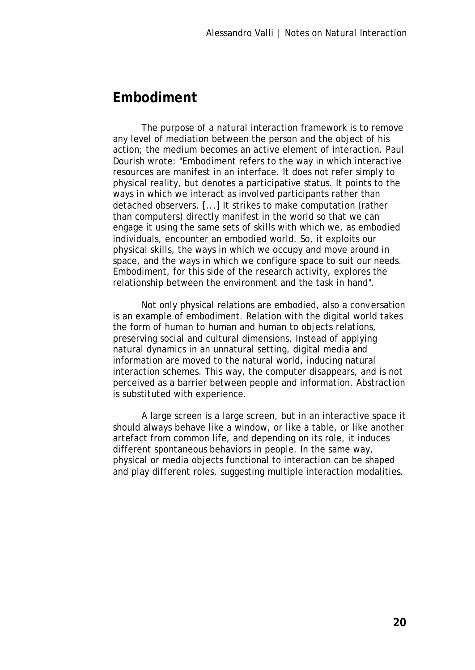#### **Embodiment**

The purpose of a natural interaction framework is to remove any level of mediation between the person and the object of his action; the medium becomes an active element of interaction. Paul Dourish wrote: "Embodiment refers to the way in which interactive resources are manifest in an interface. It does not refer simply to physical reality, but denotes a participative status. It points to the ways in which we interact as involved participants rather than detached observers. [...] It strikes to make computation (rather than computers) directly manifest in the world so that we can engage it using the same sets of skills with which we, as embodied individuals, encounter an embodied world. So, it exploits our physical skills, the ways in which we occupy and move around in space, and the ways in which we configure space to suit our needs. Embodiment, for this side of the research activity, explores the relationship between the environment and the task in hand".

Not only physical relations are embodied, also a conversation is an example of embodiment. Relation with the digital world takes the form of human to human and human to objects relations, preserving social and cultural dimensions. Instead of applying natural dynamics in an unnatural setting, digital media and information are moved to the natural world, inducing natural interaction schemes. This way, the computer disappears, and is not perceived as a barrier between people and information. Abstraction is substituted with experience.

A large screen is a large screen, but in an interactive space it should always behave like a window, or like a table, or like another artefact from common life, and depending on its role, it induces different spontaneous behaviors in people. In the same way, physical or media objects functional to interaction can be shaped and play different roles, suggesting multiple interaction modalities.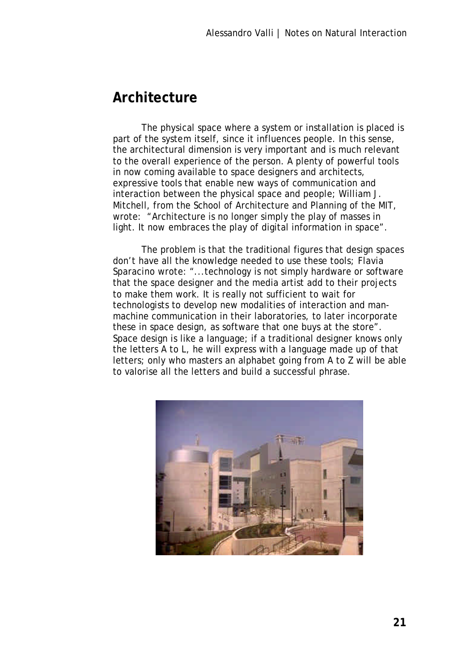#### **Architecture**

The physical space where a system or installation is placed is part of the system itself, since it influences people. In this sense, the architectural dimension is very important and is much relevant to the overall experience of the person. A plenty of powerful tools in now coming available to space designers and architects, expressive tools that enable new ways of communication and interaction between the physical space and people; William J. Mitchell, from the School of Architecture and Planning of the MIT, wrote: "Architecture is no longer simply the play of masses in light. It now embraces the play of digital information in space".

The problem is that the traditional figures that design spaces don't have all the knowledge needed to use these tools; Flavia Sparacino wrote: "...technology is not simply hardware or software that the space designer and the media artist add to their projects to make them work. It is really not sufficient to wait for technologists to develop new modalities of interaction and manmachine communication in their laboratories, to later incorporate these in space design, as software that one buys at the store". Space design is like a language; if a traditional designer knows only the letters A to L, he will express with a language made up of that letters; only who masters an alphabet going from A to Z will be able to valorise all the letters and build a successful phrase.

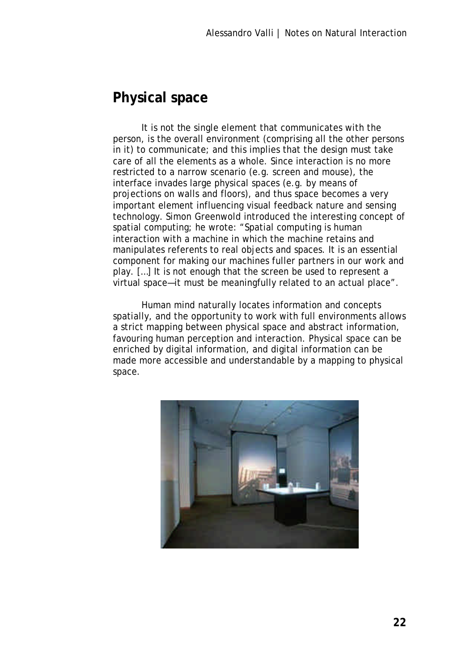## **Physical space**

It is not the single element that communicates with the person, is the overall environment (comprising all the other persons in it) to communicate; and this implies that the design must take care of all the elements as a whole. Since interaction is no more restricted to a narrow scenario (e.g. screen and mouse), the interface invades large physical spaces (e.g. by means of projections on walls and floors), and thus space becomes a very important element influencing visual feedback nature and sensing technology. Simon Greenwold introduced the interesting concept of spatial computing; he wrote: "Spatial computing is human interaction with a machine in which the machine retains and manipulates referents to real objects and spaces. It is an essential component for making our machines fuller partners in our work and play. […] It is not enough that the screen be used to represent a virtual space—it must be meaningfully related to an actual place".

Human mind naturally locates information and concepts spatially, and the opportunity to work with full environments allows a strict mapping between physical space and abstract information, favouring human perception and interaction. Physical space can be enriched by digital information, and digital information can be made more accessible and understandable by a mapping to physical space.

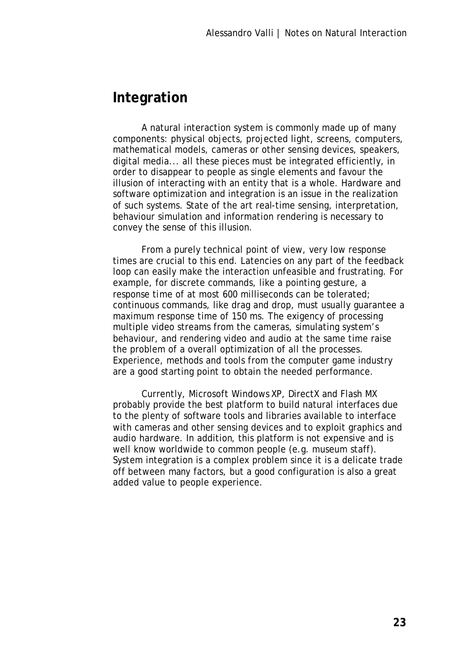#### **Integration**

A natural interaction system is commonly made up of many components: physical objects, projected light, screens, computers, mathematical models, cameras or other sensing devices, speakers, digital media... all these pieces must be integrated efficiently, in order to disappear to people as single elements and favour the illusion of interacting with an entity that is a whole. Hardware and software optimization and integration is an issue in the realization of such systems. State of the art real-time sensing, interpretation, behaviour simulation and information rendering is necessary to convey the sense of this illusion.

From a purely technical point of view, very low response times are crucial to this end. Latencies on any part of the feedback loop can easily make the interaction unfeasible and frustrating. For example, for discrete commands, like a pointing gesture, a response time of at most 600 milliseconds can be tolerated; continuous commands, like drag and drop, must usually guarantee a maximum response time of 150 ms. The exigency of processing multiple video streams from the cameras, simulating system's behaviour, and rendering video and audio at the same time raise the problem of a overall optimization of all the processes. Experience, methods and tools from the computer game industry are a good starting point to obtain the needed performance.

Currently, Microsoft Windows XP, DirectX and Flash MX probably provide the best platform to build natural interfaces due to the plenty of software tools and libraries available to interface with cameras and other sensing devices and to exploit graphics and audio hardware. In addition, this platform is not expensive and is well know worldwide to common people (e.g. museum staff). System integration is a complex problem since it is a delicate trade off between many factors, but a good configuration is also a great added value to people experience.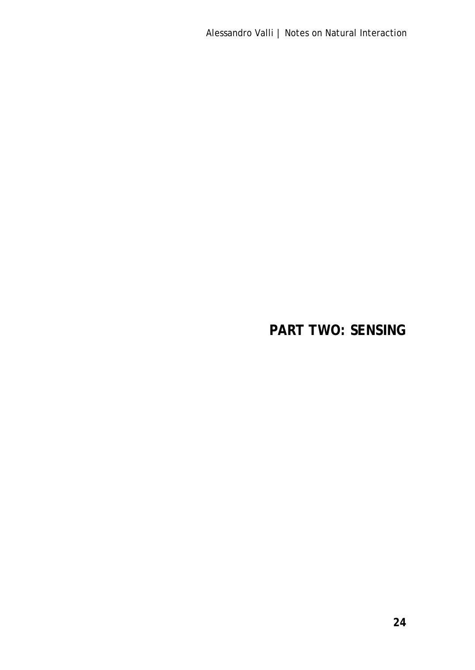Alessandro Valli | Notes on Natural Interaction

# **PART TWO: SENSING**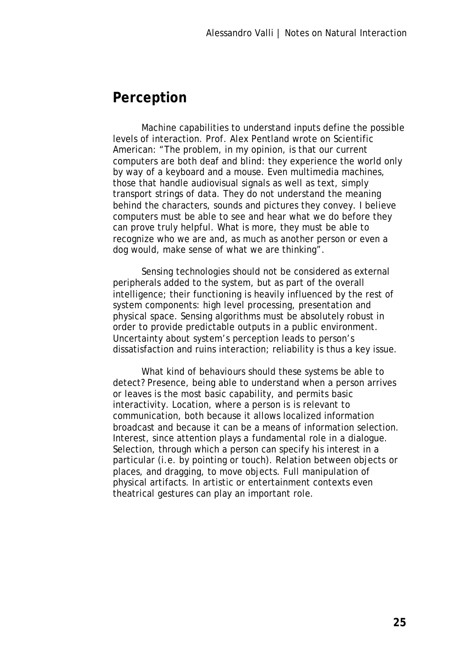#### **Perception**

Machine capabilities to understand inputs define the possible levels of interaction. Prof. Alex Pentland wrote on Scientific American: "The problem, in my opinion, is that our current computers are both deaf and blind: they experience the world only by way of a keyboard and a mouse. Even multimedia machines, those that handle audiovisual signals as well as text, simply transport strings of data. They do not understand the meaning behind the characters, sounds and pictures they convey. I believe computers must be able to see and hear what we do before they can prove truly helpful. What is more, they must be able to recognize who we are and, as much as another person or even a dog would, make sense of what we are thinking".

Sensing technologies should not be considered as external peripherals added to the system, but as part of the overall intelligence; their functioning is heavily influenced by the rest of system components: high level processing, presentation and physical space. Sensing algorithms must be absolutely robust in order to provide predictable outputs in a public environment. Uncertainty about system's perception leads to person's dissatisfaction and ruins interaction; reliability is thus a key issue.

What kind of behaviours should these systems be able to detect? Presence, being able to understand when a person arrives or leaves is the most basic capability, and permits basic interactivity. Location, where a person is is relevant to communication, both because it allows localized information broadcast and because it can be a means of information selection. Interest, since attention plays a fundamental role in a dialogue. Selection, through which a person can specify his interest in a particular (i.e. by pointing or touch). Relation between objects or places, and dragging, to move objects. Full manipulation of physical artifacts. In artistic or entertainment contexts even theatrical gestures can play an important role.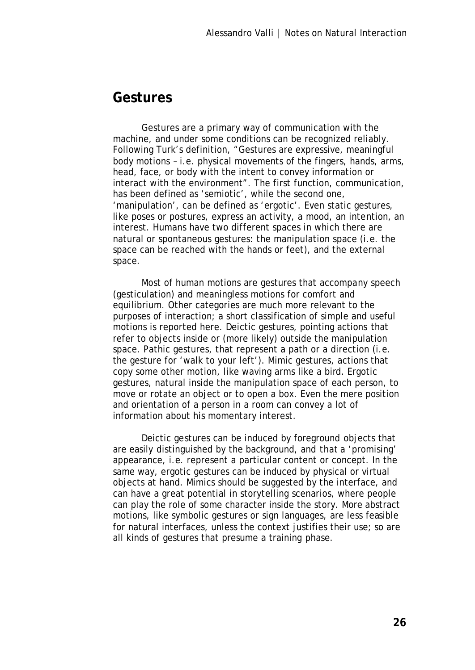#### **Gestures**

Gestures are a primary way of communication with the machine, and under some conditions can be recognized reliably. Following Turk's definition, "Gestures are expressive, meaningful body motions – i.e. physical movements of the fingers, hands, arms, head, face, or body with the intent to convey information or interact with the environment". The first function, communication, has been defined as 'semiotic', while the second one, 'manipulation', can be defined as 'ergotic'. Even static gestures, like poses or postures, express an activity, a mood, an intention, an interest. Humans have two different spaces in which there are natural or spontaneous gestures: the manipulation space (i.e. the space can be reached with the hands or feet), and the external space.

Most of human motions are gestures that accompany speech (gesticulation) and meaningless motions for comfort and equilibrium. Other categories are much more relevant to the purposes of interaction; a short classification of simple and useful motions is reported here. Deictic gestures, pointing actions that refer to objects inside or (more likely) outside the manipulation space. Pathic gestures, that represent a path or a direction (i.e. the gesture for 'walk to your left'). Mimic gestures, actions that copy some other motion, like waving arms like a bird. Ergotic gestures, natural inside the manipulation space of each person, to move or rotate an object or to open a box. Even the mere position and orientation of a person in a room can convey a lot of information about his momentary interest.

Deictic gestures can be induced by foreground objects that are easily distinguished by the background, and that a 'promising' appearance, i.e. represent a particular content or concept. In the same way, ergotic gestures can be induced by physical or virtual objects at hand. Mimics should be suggested by the interface, and can have a great potential in storytelling scenarios, where people can play the role of some character inside the story. More abstract motions, like symbolic gestures or sign languages, are less feasible for natural interfaces, unless the context justifies their use; so are all kinds of gestures that presume a training phase.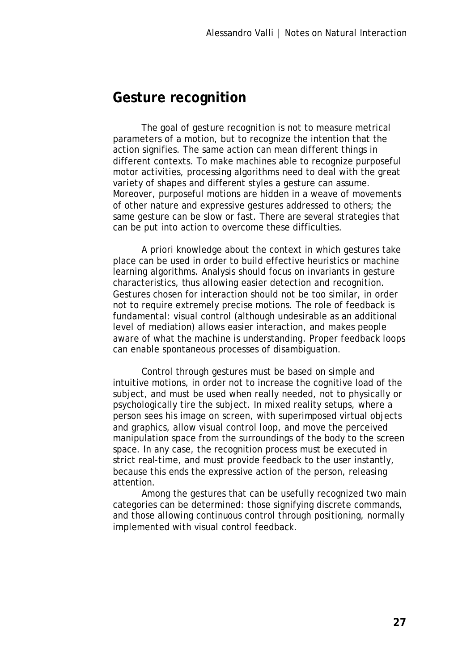#### **Gesture recognition**

The goal of gesture recognition is not to measure metrical parameters of a motion, but to recognize the intention that the action signifies. The same action can mean different things in different contexts. To make machines able to recognize purposeful motor activities, processing algorithms need to deal with the great variety of shapes and different styles a gesture can assume. Moreover, purposeful motions are hidden in a weave of movements of other nature and expressive gestures addressed to others; the same gesture can be slow or fast. There are several strategies that can be put into action to overcome these difficulties.

A priori knowledge about the context in which gestures take place can be used in order to build effective heuristics or machine learning algorithms. Analysis should focus on invariants in gesture characteristics, thus allowing easier detection and recognition. Gestures chosen for interaction should not be too similar, in order not to require extremely precise motions. The role of feedback is fundamental: visual control (although undesirable as an additional level of mediation) allows easier interaction, and makes people aware of what the machine is understanding. Proper feedback loops can enable spontaneous processes of disambiguation.

Control through gestures must be based on simple and intuitive motions, in order not to increase the cognitive load of the subject, and must be used when really needed, not to physically or psychologically tire the subject. In mixed reality setups, where a person sees his image on screen, with superimposed virtual objects and graphics, allow visual control loop, and move the perceived manipulation space from the surroundings of the body to the screen space. In any case, the recognition process must be executed in strict real-time, and must provide feedback to the user instantly, because this ends the expressive action of the person, releasing attention.

Among the gestures that can be usefully recognized two main categories can be determined: those signifying discrete commands, and those allowing continuous control through positioning, normally implemented with visual control feedback.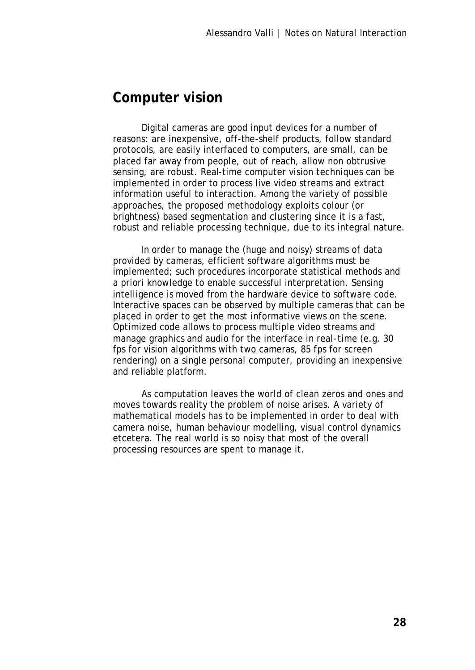## **Computer vision**

Digital cameras are good input devices for a number of reasons: are inexpensive, off-the-shelf products, follow standard protocols, are easily interfaced to computers, are small, can be placed far away from people, out of reach, allow non obtrusive sensing, are robust. Real-time computer vision techniques can be implemented in order to process live video streams and extract information useful to interaction. Among the variety of possible approaches, the proposed methodology exploits colour (or brightness) based segmentation and clustering since it is a fast, robust and reliable processing technique, due to its integral nature.

In order to manage the (huge and noisy) streams of data provided by cameras, efficient software algorithms must be implemented; such procedures incorporate statistical methods and a priori knowledge to enable successful interpretation. Sensing intelligence is moved from the hardware device to software code. Interactive spaces can be observed by multiple cameras that can be placed in order to get the most informative views on the scene. Optimized code allows to process multiple video streams and manage graphics and audio for the interface in real-time (e.g. 30 fps for vision algorithms with two cameras, 85 fps for screen rendering) on a single personal computer, providing an inexpensive and reliable platform.

As computation leaves the world of clean zeros and ones and moves towards reality the problem of noise arises. A variety of mathematical models has to be implemented in order to deal with camera noise, human behaviour modelling, visual control dynamics etcetera. The real world is so noisy that most of the overall processing resources are spent to manage it.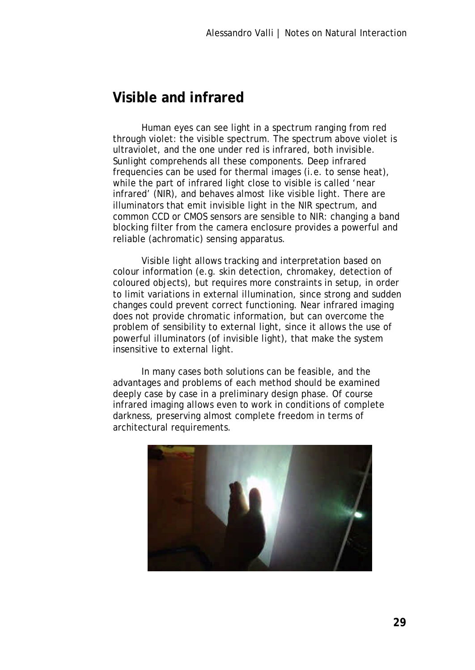## **Visible and infrared**

Human eyes can see light in a spectrum ranging from red through violet: the visible spectrum. The spectrum above violet is ultraviolet, and the one under red is infrared, both invisible. Sunlight comprehends all these components. Deep infrared frequencies can be used for thermal images (i.e. to sense heat), while the part of infrared light close to visible is called 'near infrared' (NIR), and behaves almost like visible light. There are illuminators that emit invisible light in the NIR spectrum, and common CCD or CMOS sensors are sensible to NIR: changing a band blocking filter from the camera enclosure provides a powerful and reliable (achromatic) sensing apparatus.

Visible light allows tracking and interpretation based on colour information (e.g. skin detection, chromakey, detection of coloured objects), but requires more constraints in setup, in order to limit variations in external illumination, since strong and sudden changes could prevent correct functioning. Near infrared imaging does not provide chromatic information, but can overcome the problem of sensibility to external light, since it allows the use of powerful illuminators (of invisible light), that make the system insensitive to external light.

In many cases both solutions can be feasible, and the advantages and problems of each method should be examined deeply case by case in a preliminary design phase. Of course infrared imaging allows even to work in conditions of complete darkness, preserving almost complete freedom in terms of architectural requirements.

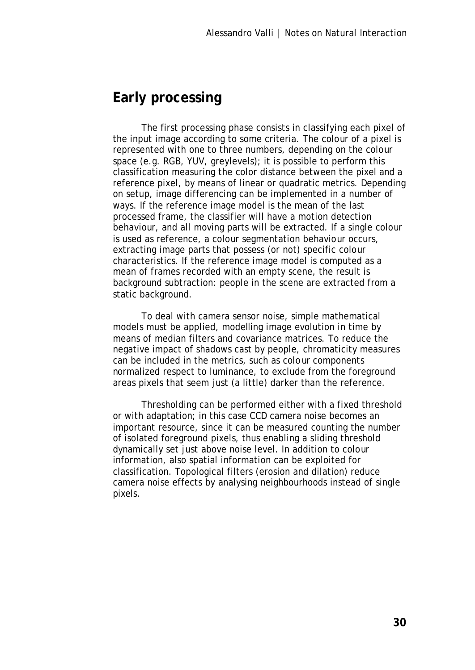#### **Early processing**

The first processing phase consists in classifying each pixel of the input image according to some criteria. The colour of a pixel is represented with one to three numbers, depending on the colour space (e.g. RGB, YUV, greylevels); it is possible to perform this classification measuring the color distance between the pixel and a reference pixel, by means of linear or quadratic metrics. Depending on setup, image differencing can be implemented in a number of ways. If the reference image model is the mean of the last processed frame, the classifier will have a motion detection behaviour, and all moving parts will be extracted. If a single colour is used as reference, a colour segmentation behaviour occurs, extracting image parts that possess (or not) specific colour characteristics. If the reference image model is computed as a mean of frames recorded with an empty scene, the result is background subtraction: people in the scene are extracted from a static background.

To deal with camera sensor noise, simple mathematical models must be applied, modelling image evolution in time by means of median filters and covariance matrices. To reduce the negative impact of shadows cast by people, chromaticity measures can be included in the metrics, such as colour components normalized respect to luminance, to exclude from the foreground areas pixels that seem just (a little) darker than the reference.

Thresholding can be performed either with a fixed threshold or with adaptation; in this case CCD camera noise becomes an important resource, since it can be measured counting the number of isolated foreground pixels, thus enabling a sliding threshold dynamically set just above noise level. In addition to colour information, also spatial information can be exploited for classification. Topological filters (erosion and dilation) reduce camera noise effects by analysing neighbourhoods instead of single pixels.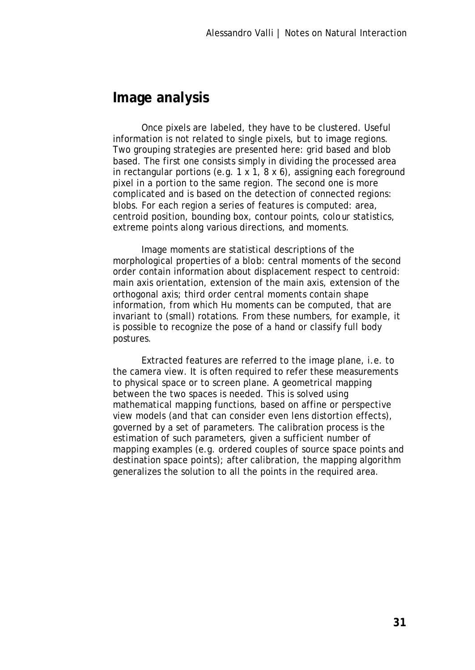#### **Image analysis**

Once pixels are labeled, they have to be clustered. Useful information is not related to single pixels, but to image regions. Two grouping strategies are presented here: grid based and blob based. The first one consists simply in dividing the processed area in rectangular portions (e.g. 1 x 1, 8 x 6), assigning each foreground pixel in a portion to the same region. The second one is more complicated and is based on the detection of connected regions: blobs. For each region a series of features is computed: area, centroid position, bounding box, contour points, colour statistics, extreme points along various directions, and moments.

Image moments are statistical descriptions of the morphological properties of a blob: central moments of the second order contain information about displacement respect to centroid: main axis orientation, extension of the main axis, extension of the orthogonal axis; third order central moments contain shape information, from which Hu moments can be computed, that are invariant to (small) rotations. From these numbers, for example, it is possible to recognize the pose of a hand or classify full body postures.

Extracted features are referred to the image plane, i.e. to the camera view. It is often required to refer these measurements to physical space or to screen plane. A geometrical mapping between the two spaces is needed. This is solved using mathematical mapping functions, based on affine or perspective view models (and that can consider even lens distortion effects), governed by a set of parameters. The calibration process is the estimation of such parameters, given a sufficient number of mapping examples (e.g. ordered couples of source space points and destination space points); after calibration, the mapping algorithm generalizes the solution to all the points in the required area.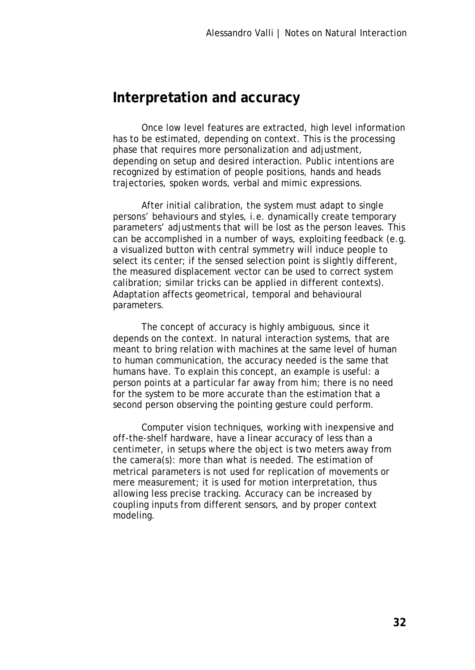#### **Interpretation and accuracy**

Once low level features are extracted, high level information has to be estimated, depending on context. This is the processing phase that requires more personalization and adjustment, depending on setup and desired interaction. Public intentions are recognized by estimation of people positions, hands and heads trajectories, spoken words, verbal and mimic expressions.

After initial calibration, the system must adapt to single persons' behaviours and styles, i.e. dynamically create temporary parameters' adjustments that will be lost as the person leaves. This can be accomplished in a number of ways, exploiting feedback (e.g. a visualized button with central symmetry will induce people to select its center; if the sensed selection point is slightly different, the measured displacement vector can be used to correct system calibration; similar tricks can be applied in different contexts). Adaptation affects geometrical, temporal and behavioural parameters.

The concept of accuracy is highly ambiguous, since it depends on the context. In natural interaction systems, that are meant to bring relation with machines at the same level of human to human communication, the accuracy needed is the same that humans have. To explain this concept, an example is useful: a person points at a particular far away from him; there is no need for the system to be more accurate than the estimation that a second person observing the pointing gesture could perform.

Computer vision techniques, working with inexpensive and off-the-shelf hardware, have a linear accuracy of less than a centimeter, in setups where the object is two meters away from the camera(s): more than what is needed. The estimation of metrical parameters is not used for replication of movements or mere measurement; it is used for motion interpretation, thus allowing less precise tracking. Accuracy can be increased by coupling inputs from different sensors, and by proper context modeling.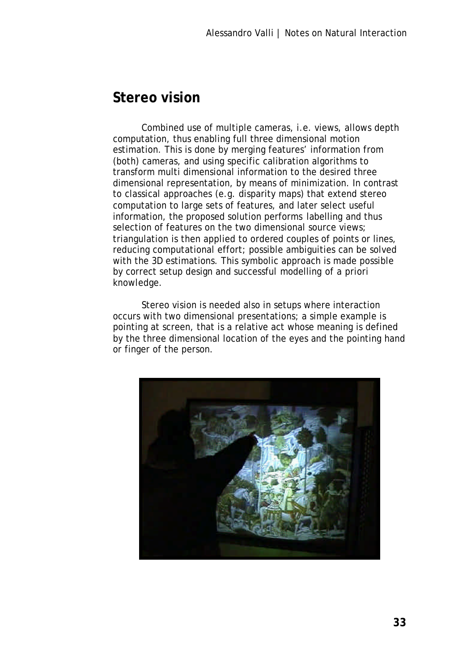#### **Stereo vision**

Combined use of multiple cameras, i.e. views, allows depth computation, thus enabling full three dimensional motion estimation. This is done by merging features' information from (both) cameras, and using specific calibration algorithms to transform multi dimensional information to the desired three dimensional representation, by means of minimization. In contrast to classical approaches (e.g. disparity maps) that extend stereo computation to large sets of features, and later select useful information, the proposed solution performs labelling and thus selection of features on the two dimensional source views; triangulation is then applied to ordered couples of points or lines, reducing computational effort; possible ambiguities can be solved with the 3D estimations. This symbolic approach is made possible by correct setup design and successful modelling of a priori knowledge.

Stereo vision is needed also in setups where interaction occurs with two dimensional presentations; a simple example is pointing at screen, that is a relative act whose meaning is defined by the three dimensional location of the eyes and the pointing hand or finger of the person.

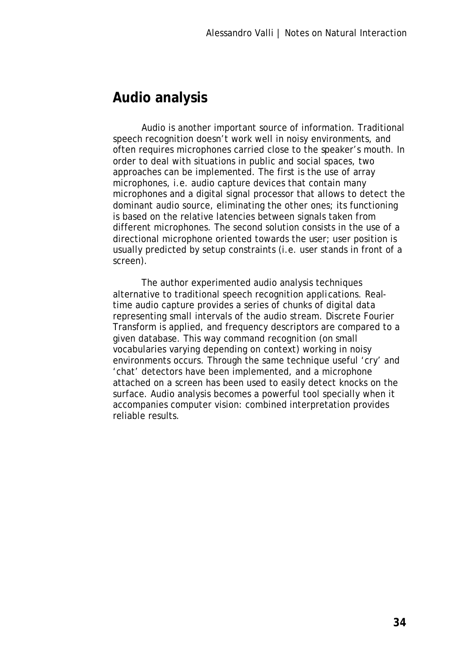#### **Audio analysis**

Audio is another important source of information. Traditional speech recognition doesn't work well in noisy environments, and often requires microphones carried close to the speaker's mouth. In order to deal with situations in public and social spaces, two approaches can be implemented. The first is the use of array microphones, i.e. audio capture devices that contain many microphones and a digital signal processor that allows to detect the dominant audio source, eliminating the other ones; its functioning is based on the relative latencies between signals taken from different microphones. The second solution consists in the use of a directional microphone oriented towards the user; user position is usually predicted by setup constraints (i.e. user stands in front of a screen).

The author experimented audio analysis techniques alternative to traditional speech recognition applications. Realtime audio capture provides a series of chunks of digital data representing small intervals of the audio stream. Discrete Fourier Transform is applied, and frequency descriptors are compared to a given database. This way command recognition (on small vocabularies varying depending on context) working in noisy environments occurs. Through the same technique useful 'cry' and 'chat' detectors have been implemented, and a microphone attached on a screen has been used to easily detect knocks on the surface. Audio analysis becomes a powerful tool specially when it accompanies computer vision: combined interpretation provides reliable results.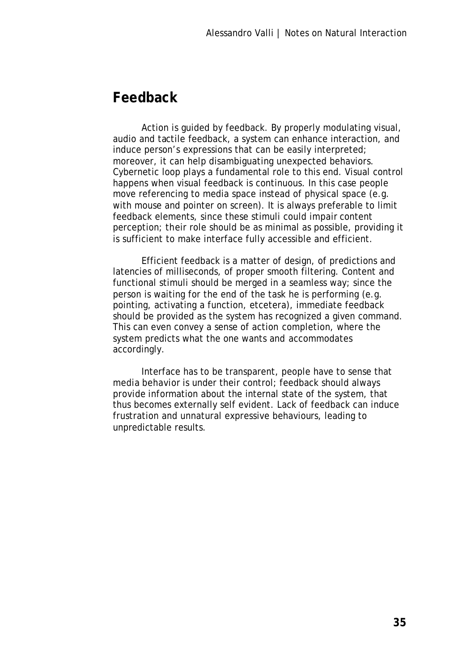## **Feedback**

Action is guided by feedback. By properly modulating visual, audio and tactile feedback, a system can enhance interaction, and induce person's expressions that can be easily interpreted; moreover, it can help disambiguating unexpected behaviors. Cybernetic loop plays a fundamental role to this end. Visual control happens when visual feedback is continuous. In this case people move referencing to media space instead of physical space (e.g. with mouse and pointer on screen). It is always preferable to limit feedback elements, since these stimuli could impair content perception; their role should be as minimal as possible, providing it is sufficient to make interface fully accessible and efficient.

Efficient feedback is a matter of design, of predictions and latencies of milliseconds, of proper smooth filtering. Content and functional stimuli should be merged in a seamless way; since the person is waiting for the end of the task he is performing (e.g. pointing, activating a function, etcetera), immediate feedback should be provided as the system has recognized a given command. This can even convey a sense of action completion, where the system predicts what the one wants and accommodates accordingly.

Interface has to be transparent, people have to sense that media behavior is under their control; feedback should always provide information about the internal state of the system, that thus becomes externally self evident. Lack of feedback can induce frustration and unnatural expressive behaviours, leading to unpredictable results.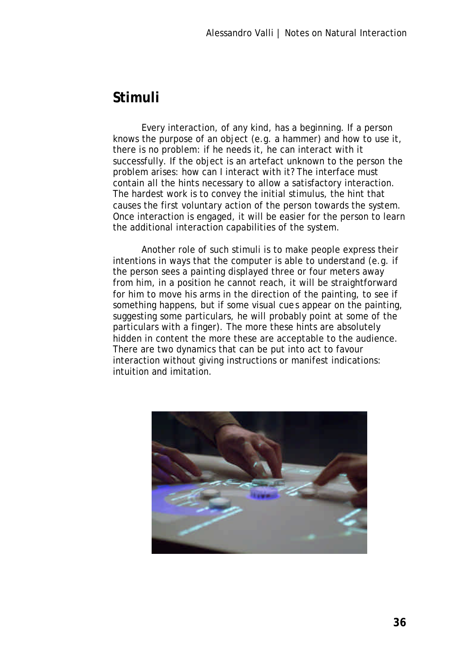#### **Stimuli**

Every interaction, of any kind, has a beginning. If a person knows the purpose of an object (e.g. a hammer) and how to use it, there is no problem: if he needs it, he can interact with it successfully. If the object is an artefact unknown to the person the problem arises: how can I interact with it? The interface must contain all the hints necessary to allow a satisfactory interaction. The hardest work is to convey the initial stimulus, the hint that causes the first voluntary action of the person towards the system. Once interaction is engaged, it will be easier for the person to learn the additional interaction capabilities of the system.

Another role of such stimuli is to make people express their intentions in ways that the computer is able to understand (e.g. if the person sees a painting displayed three or four meters away from him, in a position he cannot reach, it will be straightforward for him to move his arms in the direction of the painting, to see if something happens, but if some visual cues appear on the painting, suggesting some particulars, he will probably point at some of the particulars with a finger). The more these hints are absolutely hidden in content the more these are acceptable to the audience. There are two dynamics that can be put into act to favour interaction without giving instructions or manifest indications: intuition and imitation.

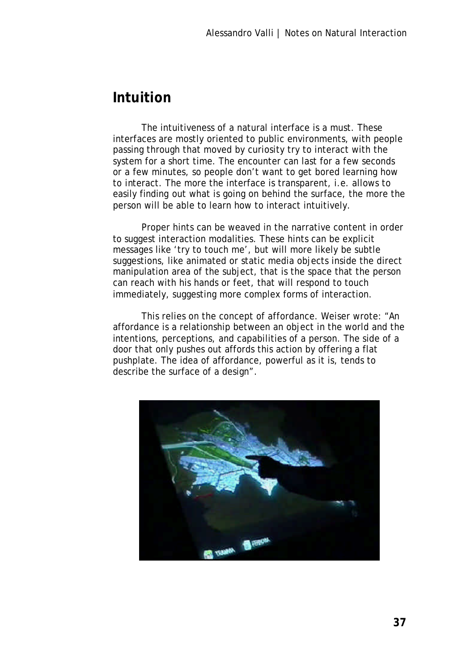## **Intuition**

The intuitiveness of a natural interface is a must. These interfaces are mostly oriented to public environments, with people passing through that moved by curiosity try to interact with the system for a short time. The encounter can last for a few seconds or a few minutes, so people don't want to get bored learning how to interact. The more the interface is transparent, i.e. allows to easily finding out what is going on behind the surface, the more the person will be able to learn how to interact intuitively.

Proper hints can be weaved in the narrative content in order to suggest interaction modalities. These hints can be explicit messages like 'try to touch me', but will more likely be subtle suggestions, like animated or static media objects inside the direct manipulation area of the subject, that is the space that the person can reach with his hands or feet, that will respond to touch immediately, suggesting more complex forms of interaction.

This relies on the concept of affordance. Weiser wrote: "An affordance is a relationship between an object in the world and the intentions, perceptions, and capabilities of a person. The side of a door that only pushes out affords this action by offering a flat pushplate. The idea of affordance, powerful as it is, tends to describe the surface of a design".

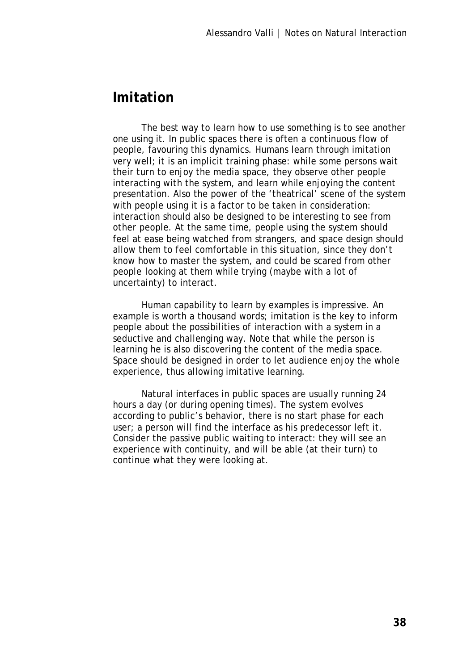### **Imitation**

The best way to learn how to use something is to see another one using it. In public spaces there is often a continuous flow of people, favouring this dynamics. Humans learn through imitation very well; it is an implicit training phase: while some persons wait their turn to enjoy the media space, they observe other people interacting with the system, and learn while enjoying the content presentation. Also the power of the 'theatrical' scene of the system with people using it is a factor to be taken in consideration: interaction should also be designed to be interesting to see from other people. At the same time, people using the system should feel at ease being watched from strangers, and space design should allow them to feel comfortable in this situation, since they don't know how to master the system, and could be scared from other people looking at them while trying (maybe with a lot of uncertainty) to interact.

Human capability to learn by examples is impressive. An example is worth a thousand words; imitation is the key to inform people about the possibilities of interaction with a system in a seductive and challenging way. Note that while the person is learning he is also discovering the content of the media space. Space should be designed in order to let audience enjoy the whole experience, thus allowing imitative learning.

Natural interfaces in public spaces are usually running 24 hours a day (or during opening times). The system evolves according to public's behavior, there is no start phase for each user; a person will find the interface as his predecessor left it. Consider the passive public waiting to interact: they will see an experience with continuity, and will be able (at their turn) to continue what they were looking at.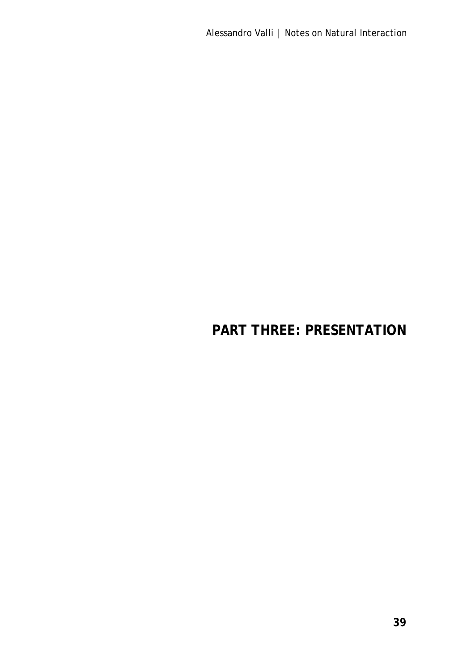# **PART THREE: PRESENTATION**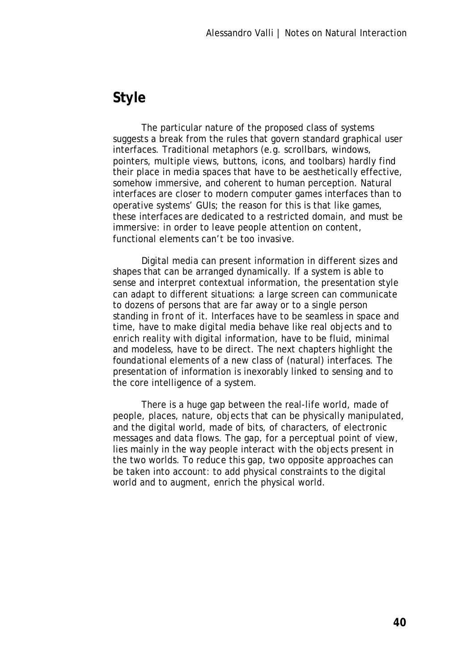# **Style**

The particular nature of the proposed class of systems suggests a break from the rules that govern standard graphical user interfaces. Traditional metaphors (e.g. scrollbars, windows, pointers, multiple views, buttons, icons, and toolbars) hardly find their place in media spaces that have to be aesthetically effective, somehow immersive, and coherent to human perception. Natural interfaces are closer to modern computer games interfaces than to operative systems' GUIs; the reason for this is that like games, these interfaces are dedicated to a restricted domain, and must be immersive: in order to leave people attention on content, functional elements can't be too invasive.

Digital media can present information in different sizes and shapes that can be arranged dynamically. If a system is able to sense and interpret contextual information, the presentation style can adapt to different situations: a large screen can communicate to dozens of persons that are far away or to a single person standing in front of it. Interfaces have to be seamless in space and time, have to make digital media behave like real objects and to enrich reality with digital information, have to be fluid, minimal and modeless, have to be direct. The next chapters highlight the foundational elements of a new class of (natural) interfaces. The presentation of information is inexorably linked to sensing and to the core intelligence of a system.

There is a huge gap between the real-life world, made of people, places, nature, objects that can be physically manipulated, and the digital world, made of bits, of characters, of electronic messages and data flows. The gap, for a perceptual point of view, lies mainly in the way people interact with the objects present in the two worlds. To reduce this gap, two opposite approaches can be taken into account: to add physical constraints to the digital world and to augment, enrich the physical world.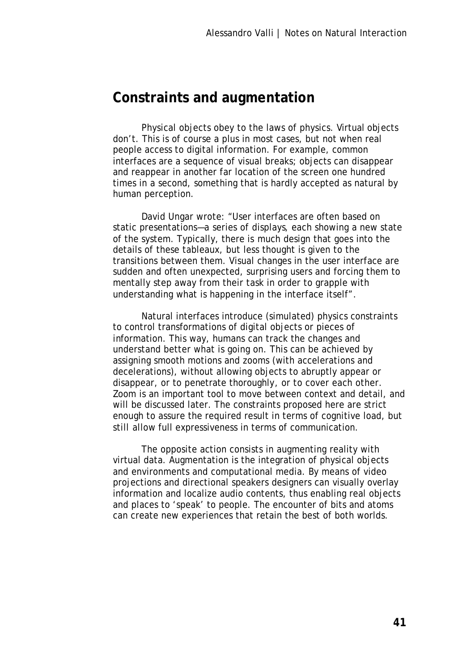## **Constraints and augmentation**

Physical objects obey to the laws of physics. Virtual objects don't. This is of course a plus in most cases, but not when real people access to digital information. For example, common interfaces are a sequence of visual breaks; objects can disappear and reappear in another far location of the screen one hundred times in a second, something that is hardly accepted as natural by human perception.

David Ungar wrote: "User interfaces are often based on static presentations—a series of displays, each showing a new state of the system. Typically, there is much design that goes into the details of these tableaux, but less thought is given to the transitions between them. Visual changes in the user interface are sudden and often unexpected, surprising users and forcing them to mentally step away from their task in order to grapple with understanding what is happening in the interface itself".

Natural interfaces introduce (simulated) physics constraints to control transformations of digital objects or pieces of information. This way, humans can track the changes and understand better what is going on. This can be achieved by assigning smooth motions and zooms (with accelerations and decelerations), without allowing objects to abruptly appear or disappear, or to penetrate thoroughly, or to cover each other. Zoom is an important tool to move between context and detail, and will be discussed later. The constraints proposed here are strict enough to assure the required result in terms of cognitive load, but still allow full expressiveness in terms of communication.

The opposite action consists in augmenting reality with virtual data. Augmentation is the integration of physical objects and environments and computational media. By means of video projections and directional speakers designers can visually overlay information and localize audio contents, thus enabling real objects and places to 'speak' to people. The encounter of bits and atoms can create new experiences that retain the best of both worlds.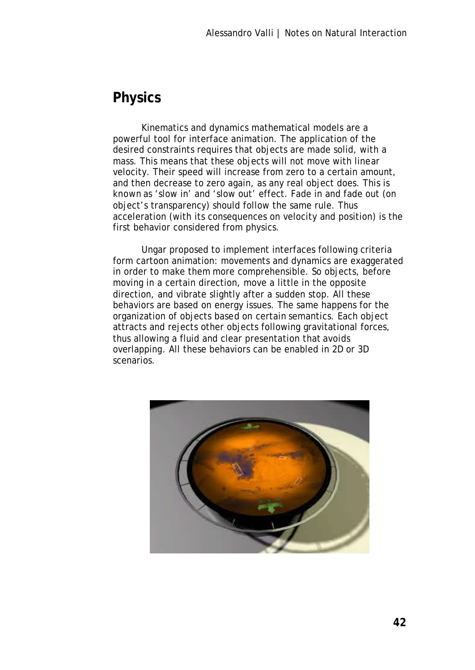# **Physics**

Kinematics and dynamics mathematical models are a powerful tool for interface animation. The application of the desired constraints requires that objects are made solid, with a mass. This means that these objects will not move with linear velocity. Their speed will increase from zero to a certain amount, and then decrease to zero again, as any real object does. This is known as 'slow in' and 'slow out' effect. Fade in and fade out (on object's transparency) should follow the same rule. Thus acceleration (with its consequences on velocity and position) is the first behavior considered from physics.

Ungar proposed to implement interfaces following criteria form cartoon animation: movements and dynamics are exaggerated in order to make them more comprehensible. So objects, before moving in a certain direction, move a little in the opposite direction, and vibrate slightly after a sudden stop. All these behaviors are based on energy issues. The same happens for the organization of objects based on certain semantics. Each object attracts and rejects other objects following gravitational forces, thus allowing a fluid and clear presentation that avoids overlapping. All these behaviors can be enabled in 2D or 3D scenarios.

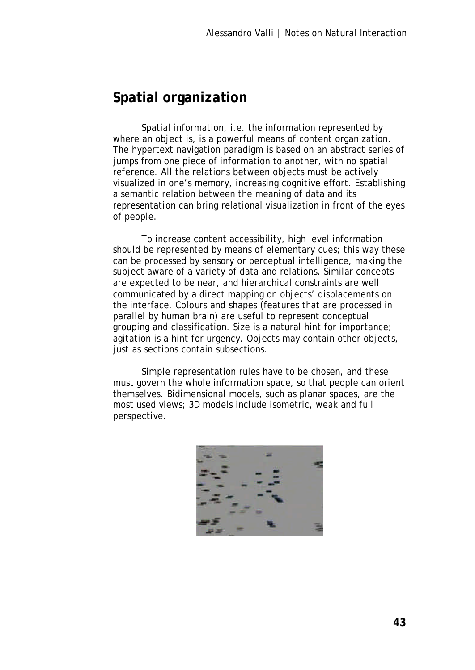# **Spatial organization**

Spatial information, i.e. the information represented by where an object is, is a powerful means of content organization. The hypertext navigation paradigm is based on an abstract series of jumps from one piece of information to another, with no spatial reference. All the relations between objects must be actively visualized in one's memory, increasing cognitive effort. Establishing a semantic relation between the meaning of data and its representation can bring relational visualization in front of the eyes of people.

To increase content accessibility, high level information should be represented by means of elementary cues; this way these can be processed by sensory or perceptual intelligence, making the subject aware of a variety of data and relations. Similar concepts are expected to be near, and hierarchical constraints are well communicated by a direct mapping on objects' displacements on the interface. Colours and shapes (features that are processed in parallel by human brain) are useful to represent conceptual grouping and classification. Size is a natural hint for importance; agitation is a hint for urgency. Objects may contain other objects, just as sections contain subsections.

Simple representation rules have to be chosen, and these must govern the whole information space, so that people can orient themselves. Bidimensional models, such as planar spaces, are the most used views; 3D models include isometric, weak and full perspective.

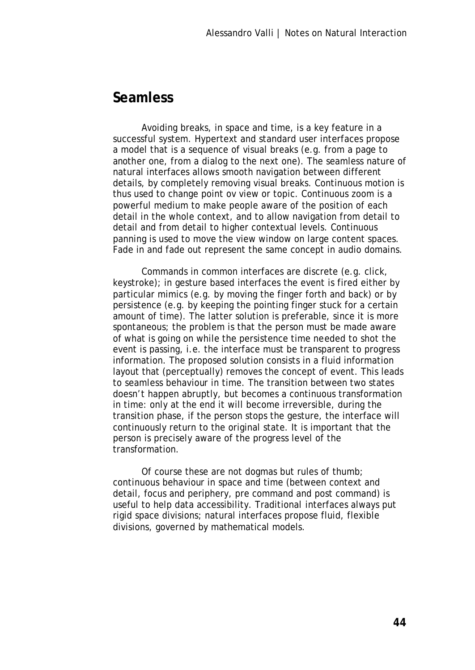### **Seamless**

Avoiding breaks, in space and time, is a key feature in a successful system. Hypertext and standard user interfaces propose a model that is a sequence of visual breaks (e.g. from a page to another one, from a dialog to the next one). The seamless nature of natural interfaces allows smooth navigation between different details, by completely removing visual breaks. Continuous motion is thus used to change point ov view or topic. Continuous zoom is a powerful medium to make people aware of the position of each detail in the whole context, and to allow navigation from detail to detail and from detail to higher contextual levels. Continuous panning is used to move the view window on large content spaces. Fade in and fade out represent the same concept in audio domains.

Commands in common interfaces are discrete (e.g. click, keystroke); in gesture based interfaces the event is fired either by particular mimics (e.g. by moving the finger forth and back) or by persistence (e.g. by keeping the pointing finger stuck for a certain amount of time). The latter solution is preferable, since it is more spontaneous; the problem is that the person must be made aware of what is going on while the persistence time needed to shot the event is passing, i.e. the interface must be transparent to progress information. The proposed solution consists in a fluid information layout that (perceptually) removes the concept of event. This leads to seamless behaviour in time. The transition between two states doesn't happen abruptly, but becomes a continuous transformation in time: only at the end it will become irreversible, during the transition phase, if the person stops the gesture, the interface will continuously return to the original state. It is important that the person is precisely aware of the progress level of the transformation.

Of course these are not dogmas but rules of thumb; continuous behaviour in space and time (between context and detail, focus and periphery, pre command and post command) is useful to help data accessibility. Traditional interfaces always put rigid space divisions; natural interfaces propose fluid, flexible divisions, governed by mathematical models.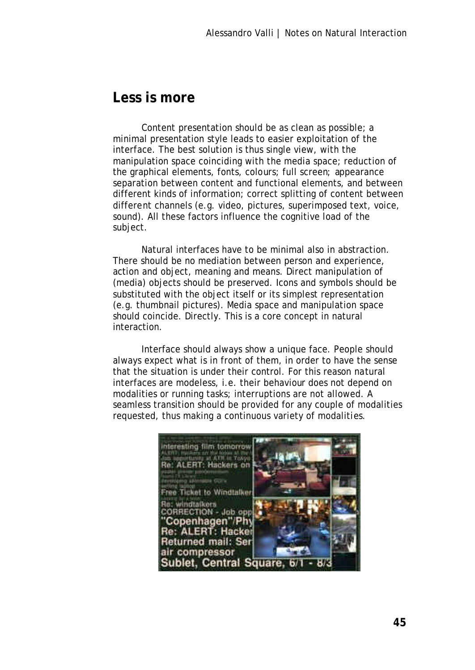### **Less is more**

Content presentation should be as clean as possible; a minimal presentation style leads to easier exploitation of the interface. The best solution is thus single view, with the manipulation space coinciding with the media space; reduction of the graphical elements, fonts, colours; full screen; appearance separation between content and functional elements, and between different kinds of information; correct splitting of content between different channels (e.g. video, pictures, superimposed text, voice, sound). All these factors influence the cognitive load of the subject.

Natural interfaces have to be minimal also in abstraction. There should be no mediation between person and experience, action and object, meaning and means. Direct manipulation of (media) objects should be preserved. Icons and symbols should be substituted with the object itself or its simplest representation (e.g. thumbnail pictures). Media space and manipulation space should coincide. Directly. This is a core concept in natural interaction.

Interface should always show a unique face. People should always expect what is in front of them, in order to have the sense that the situation is under their control. For this reason natural interfaces are modeless, i.e. their behaviour does not depend on modalities or running tasks; interruptions are not allowed. A seamless transition should be provided for any couple of modalities requested, thus making a continuous variety of modalities.

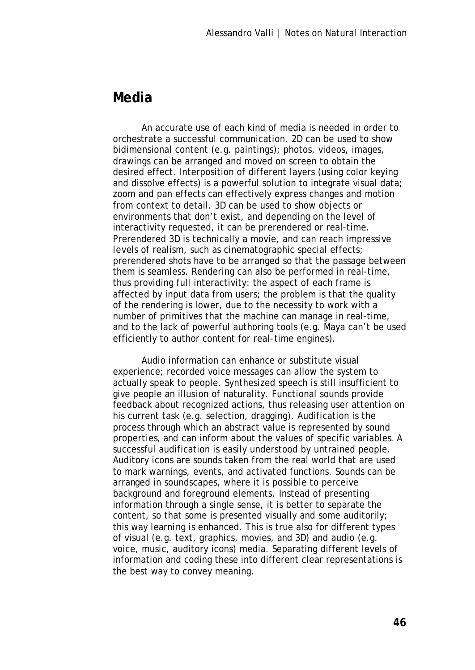### **Media**

An accurate use of each kind of media is needed in order to orchestrate a successful communication. 2D can be used to show bidimensional content (e.g. paintings); photos, videos, images, drawings can be arranged and moved on screen to obtain the desired effect. Interposition of different layers (using color keying and dissolve effects) is a powerful solution to integrate visual data; zoom and pan effects can effectively express changes and motion from context to detail. 3D can be used to show objects or environments that don't exist, and depending on the level of interactivity requested, it can be prerendered or real-time. Prerendered 3D is technically a movie, and can reach impressive levels of realism, such as cinematographic special effects; prerendered shots have to be arranged so that the passage between them is seamless. Rendering can also be performed in real-time, thus providing full interactivity: the aspect of each frame is affected by input data from users; the problem is that the quality of the rendering is lower, due to the necessity to work with a number of primitives that the machine can manage in real-time, and to the lack of powerful authoring tools (e.g. Maya can't be used efficiently to author content for real-time engines).

Audio information can enhance or substitute visual experience; recorded voice messages can allow the system to actually speak to people. Synthesized speech is still insufficient to give people an illusion of naturality. Functional sounds provide feedback about recognized actions, thus releasing user attention on his current task (e.g. selection, dragging). Audification is the process through which an abstract value is represented by sound properties, and can inform about the values of specific variables. A successful audification is easily understood by untrained people. Auditory icons are sounds taken from the real world that are used to mark warnings, events, and activated functions. Sounds can be arranged in soundscapes, where it is possible to perceive background and foreground elements. Instead of presenting information through a single sense, it is better to separate the content, so that some is presented visually and some auditorily; this way learning is enhanced. This is true also for different types of visual (e.g. text, graphics, movies, and 3D) and audio (e.g. voice, music, auditory icons) media. Separating different levels of information and coding these into different clear representations is the best way to convey meaning.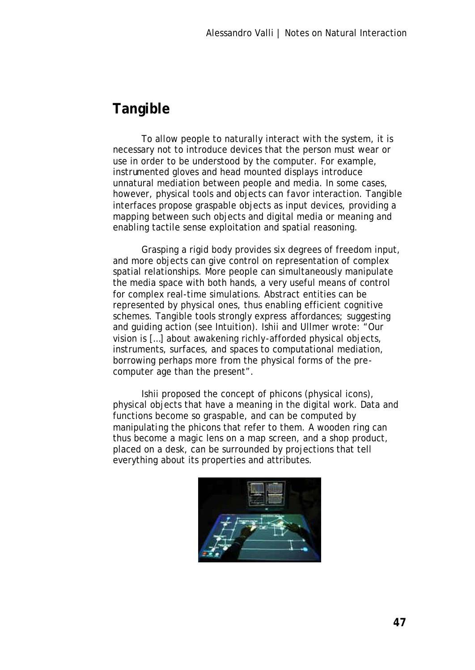# **Tangible**

To allow people to naturally interact with the system, it is necessary not to introduce devices that the person must wear or use in order to be understood by the computer. For example, instrumented gloves and head mounted displays introduce unnatural mediation between people and media. In some cases, however, physical tools and objects can favor interaction. Tangible interfaces propose graspable objects as input devices, providing a mapping between such objects and digital media or meaning and enabling tactile sense exploitation and spatial reasoning.

Grasping a rigid body provides six degrees of freedom input, and more objects can give control on representation of complex spatial relationships. More people can simultaneously manipulate the media space with both hands, a very useful means of control for complex real-time simulations. Abstract entities can be represented by physical ones, thus enabling efficient cognitive schemes. Tangible tools strongly express affordances; suggesting and guiding action (see Intuition). Ishii and Ullmer wrote: "Our vision is […] about awakening richly-afforded physical objects, instruments, surfaces, and spaces to computational mediation, borrowing perhaps more from the physical forms of the precomputer age than the present".

Ishii proposed the concept of phicons (physical icons), physical objects that have a meaning in the digital work. Data and functions become so graspable, and can be computed by manipulating the phicons that refer to them. A wooden ring can thus become a magic lens on a map screen, and a shop product, placed on a desk, can be surrounded by projections that tell everything about its properties and attributes.

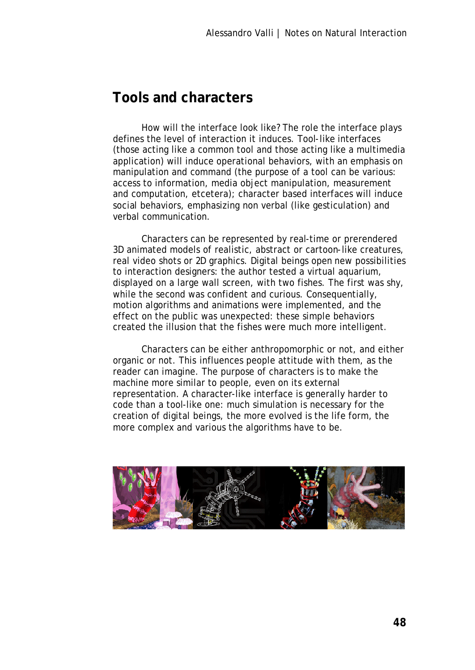## **Tools and characters**

How will the interface look like? The role the interface plays defines the level of interaction it induces. Tool-like interfaces (those acting like a common tool and those acting like a multimedia application) will induce operational behaviors, with an emphasis on manipulation and command (the purpose of a tool can be various: access to information, media object manipulation, measurement and computation, etcetera); character based interfaces will induce social behaviors, emphasizing non verbal (like gesticulation) and verbal communication.

Characters can be represented by real-time or prerendered 3D animated models of realistic, abstract or cartoon-like creatures, real video shots or 2D graphics. Digital beings open new possibilities to interaction designers: the author tested a virtual aquarium, displayed on a large wall screen, with two fishes. The first was shy, while the second was confident and curious. Consequentially, motion algorithms and animations were implemented, and the effect on the public was unexpected: these simple behaviors created the illusion that the fishes were much more intelligent.

Characters can be either anthropomorphic or not, and either organic or not. This influences people attitude with them, as the reader can imagine. The purpose of characters is to make the machine more similar to people, even on its external representation. A character-like interface is generally harder to code than a tool-like one: much simulation is necessary for the creation of digital beings, the more evolved is the life form, the more complex and various the algorithms have to be.

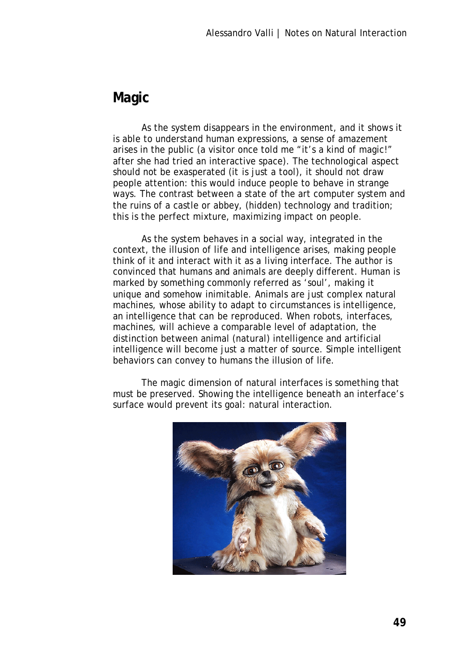# **Magic**

As the system disappears in the environment, and it shows it is able to understand human expressions, a sense of amazement arises in the public (a visitor once told me "it's a kind of magic!" after she had tried an interactive space). The technological aspect should not be exasperated (it is just a tool), it should not draw people attention: this would induce people to behave in strange ways. The contrast between a state of the art computer system and the ruins of a castle or abbey, (hidden) technology and tradition; this is the perfect mixture, maximizing impact on people.

As the system behaves in a social way, integrated in the context, the illusion of life and intelligence arises, making people think of it and interact with it as a living interface. The author is convinced that humans and animals are deeply different. Human is marked by something commonly referred as 'soul', making it unique and somehow inimitable. Animals are just complex natural machines, whose ability to adapt to circumstances is intelligence, an intelligence that can be reproduced. When robots, interfaces, machines, will achieve a comparable level of adaptation, the distinction between animal (natural) intelligence and artificial intelligence will become just a matter of source. Simple intelligent behaviors can convey to humans the illusion of life.

The magic dimension of natural interfaces is something that must be preserved. Showing the intelligence beneath an interface's surface would prevent its goal: natural interaction.

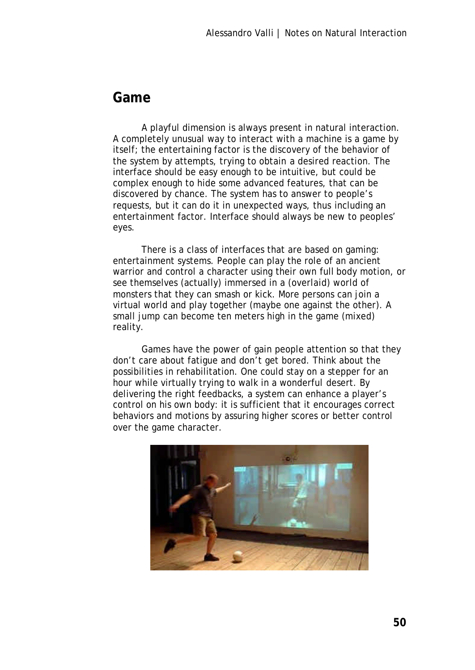### **Game**

A playful dimension is always present in natural interaction. A completely unusual way to interact with a machine is a game by itself; the entertaining factor is the discovery of the behavior of the system by attempts, trying to obtain a desired reaction. The interface should be easy enough to be intuitive, but could be complex enough to hide some advanced features, that can be discovered by chance. The system has to answer to people's requests, but it can do it in unexpected ways, thus including an entertainment factor. Interface should always be new to peoples' eyes.

There is a class of interfaces that are based on gaming: entertainment systems. People can play the role of an ancient warrior and control a character using their own full body motion, or see themselves (actually) immersed in a (overlaid) world of monsters that they can smash or kick. More persons can join a virtual world and play together (maybe one against the other). A small jump can become ten meters high in the game (mixed) reality.

Games have the power of gain people attention so that they don't care about fatigue and don't get bored. Think about the possibilities in rehabilitation. One could stay on a stepper for an hour while virtually trying to walk in a wonderful desert. By delivering the right feedbacks, a system can enhance a player's control on his own body: it is sufficient that it encourages correct behaviors and motions by assuring higher scores or better control over the game character.

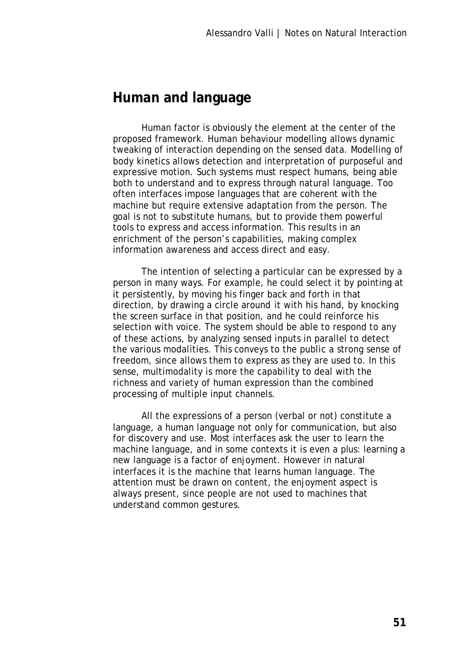### **Human and language**

Human factor is obviously the element at the center of the proposed framework. Human behaviour modelling allows dynamic tweaking of interaction depending on the sensed data. Modelling of body kinetics allows detection and interpretation of purposeful and expressive motion. Such systems must respect humans, being able both to understand and to express through natural language. Too often interfaces impose languages that are coherent with the machine but require extensive adaptation from the person. The goal is not to substitute humans, but to provide them powerful tools to express and access information. This results in an enrichment of the person's capabilities, making complex information awareness and access direct and easy.

The intention of selecting a particular can be expressed by a person in many ways. For example, he could select it by pointing at it persistently, by moving his finger back and forth in that direction, by drawing a circle around it with his hand, by knocking the screen surface in that position, and he could reinforce his selection with voice. The system should be able to respond to any of these actions, by analyzing sensed inputs in parallel to detect the various modalities. This conveys to the public a strong sense of freedom, since allows them to express as they are used to. In this sense, multimodality is more the capability to deal with the richness and variety of human expression than the combined processing of multiple input channels.

All the expressions of a person (verbal or not) constitute a language, a human language not only for communication, but also for discovery and use. Most interfaces ask the user to learn the machine language, and in some contexts it is even a plus: learning a new language is a factor of enjoyment. However in natural interfaces it is the machine that learns human language. The attention must be drawn on content, the enjoyment aspect is always present, since people are not used to machines that understand common gestures.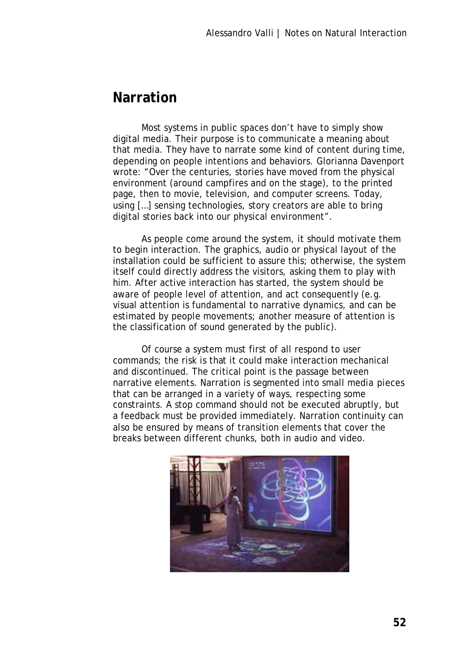### **Narration**

Most systems in public spaces don't have to simply show digital media. Their purpose is to communicate a meaning about that media. They have to narrate some kind of content during time, depending on people intentions and behaviors. Glorianna Davenport wrote: "Over the centuries, stories have moved from the physical environment (around campfires and on the stage), to the printed page, then to movie, television, and computer screens. Today, using […] sensing technologies, story creators are able to bring digital stories back into our physical environment".

As people come around the system, it should motivate them to begin interaction. The graphics, audio or physical layout of the installation could be sufficient to assure this; otherwise, the system itself could directly address the visitors, asking them to play with him. After active interaction has started, the system should be aware of people level of attention, and act consequently (e.g. visual attention is fundamental to narrative dynamics, and can be estimated by people movements; another measure of attention is the classification of sound generated by the public).

Of course a system must first of all respond to user commands; the risk is that it could make interaction mechanical and discontinued. The critical point is the passage between narrative elements. Narration is segmented into small media pieces that can be arranged in a variety of ways, respecting some constraints. A stop command should not be executed abruptly, but a feedback must be provided immediately. Narration continuity can also be ensured by means of transition elements that cover the breaks between different chunks, both in audio and video.

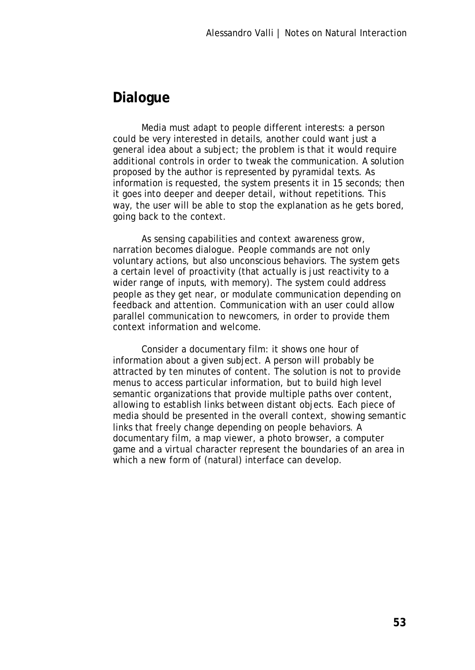# **Dialogue**

Media must adapt to people different interests: a person could be very interested in details, another could want just a general idea about a subject; the problem is that it would require additional controls in order to tweak the communication. A solution proposed by the author is represented by pyramidal texts. As information is requested, the system presents it in 15 seconds; then it goes into deeper and deeper detail, without repetitions. This way, the user will be able to stop the explanation as he gets bored, going back to the context.

As sensing capabilities and context awareness grow, narration becomes dialogue. People commands are not only voluntary actions, but also unconscious behaviors. The system gets a certain level of proactivity (that actually is just reactivity to a wider range of inputs, with memory). The system could address people as they get near, or modulate communication depending on feedback and attention. Communication with an user could allow parallel communication to newcomers, in order to provide them context information and welcome.

Consider a documentary film: it shows one hour of information about a given subject. A person will probably be attracted by ten minutes of content. The solution is not to provide menus to access particular information, but to build high level semantic organizations that provide multiple paths over content, allowing to establish links between distant objects. Each piece of media should be presented in the overall context, showing semantic links that freely change depending on people behaviors. A documentary film, a map viewer, a photo browser, a computer game and a virtual character represent the boundaries of an area in which a new form of (natural) interface can develop.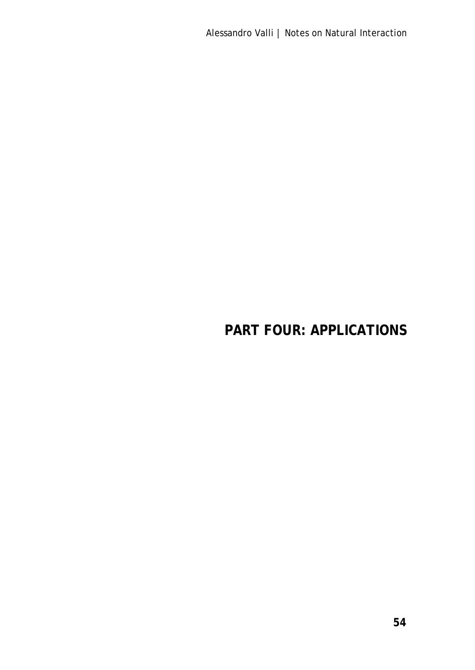# **PART FOUR: APPLICATIONS**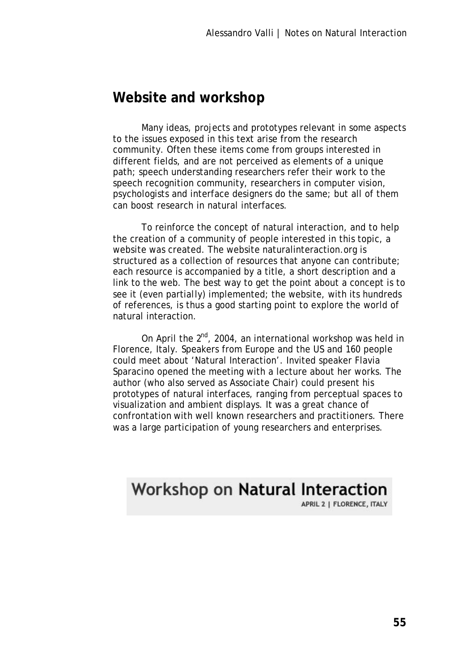### **Website and workshop**

Many ideas, projects and prototypes relevant in some aspects to the issues exposed in this text arise from the research community. Often these items come from groups interested in different fields, and are not perceived as elements of a unique path; speech understanding researchers refer their work to the speech recognition community, researchers in computer vision, psychologists and interface designers do the same; but all of them can boost research in natural interfaces.

To reinforce the concept of natural interaction, and to help the creation of a community of people interested in this topic, a website was created. The website naturalinteraction.org is structured as a collection of resources that anyone can contribute; each resource is accompanied by a title, a short description and a link to the web. The best way to get the point about a concept is to see it (even partially) implemented; the website, with its hundreds of references, is thus a good starting point to explore the world of natural interaction.

On April the  $2^{nd}$ , 2004, an international workshop was held in Florence, Italy. Speakers from Europe and the US and 160 people could meet about 'Natural Interaction'. Invited speaker Flavia Sparacino opened the meeting with a lecture about her works. The author (who also served as Associate Chair) could present his prototypes of natural interfaces, ranging from perceptual spaces to visualization and ambient displays. It was a great chance of confrontation with well known researchers and practitioners. There was a large participation of young researchers and enterprises.

# **Workshop on Natural Interaction**

APRIL 2 | FLORENCE, ITALY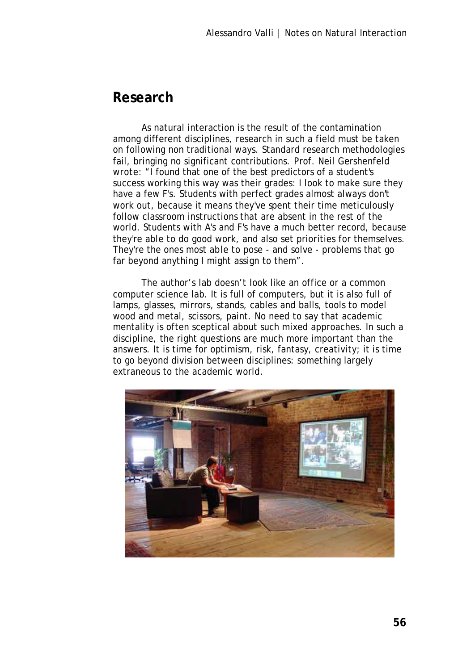# **Research**

As natural interaction is the result of the contamination among different disciplines, research in such a field must be taken on following non traditional ways. Standard research methodologies fail, bringing no significant contributions. Prof. Neil Gershenfeld wrote: "I found that one of the best predictors of a student's success working this way was their grades: I look to make sure they have a few F's. Students with perfect grades almost always don't work out, because it means they've spent their time meticulously follow classroom instructions that are absent in the rest of the world. Students with A's and F's have a much better record, because they're able to do good work, and also set priorities for themselves. They're the ones most able to pose - and solve - problems that go far beyond anything I might assign to them".

The author's lab doesn't look like an office or a common computer science lab. It is full of computers, but it is also full of lamps, glasses, mirrors, stands, cables and balls, tools to model wood and metal, scissors, paint. No need to say that academic mentality is often sceptical about such mixed approaches. In such a discipline, the right questions are much more important than the answers. It is time for optimism, risk, fantasy, creativity; it is time to go beyond division between disciplines: something largely extraneous to the academic world.

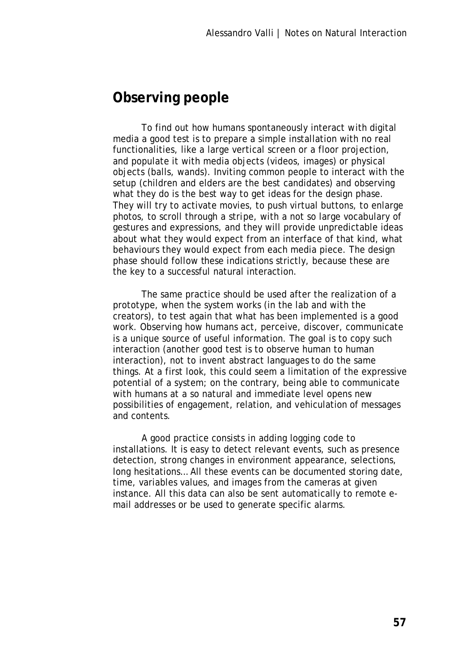# **Observing people**

To find out how humans spontaneously interact with digital media a good test is to prepare a simple installation with no real functionalities, like a large vertical screen or a floor projection, and populate it with media objects (videos, images) or physical objects (balls, wands). Inviting common people to interact with the setup (children and elders are the best candidates) and observing what they do is the best way to get ideas for the design phase. They will try to activate movies, to push virtual buttons, to enlarge photos, to scroll through a stripe, with a not so large vocabulary of gestures and expressions, and they will provide unpredictable ideas about what they would expect from an interface of that kind, what behaviours they would expect from each media piece. The design phase should follow these indications strictly, because these are the key to a successful natural interaction.

The same practice should be used after the realization of a prototype, when the system works (in the lab and with the creators), to test again that what has been implemented is a good work. Observing how humans act, perceive, discover, communicate is a unique source of useful information. The goal is to copy such interaction (another good test is to observe human to human interaction), not to invent abstract languages to do the same things. At a first look, this could seem a limitation of the expressive potential of a system; on the contrary, being able to communicate with humans at a so natural and immediate level opens new possibilities of engagement, relation, and vehiculation of messages and contents.

A good practice consists in adding logging code to installations. It is easy to detect relevant events, such as presence detection, strong changes in environment appearance, selections, long hesitations… All these events can be documented storing date, time, variables values, and images from the cameras at given instance. All this data can also be sent automatically to remote email addresses or be used to generate specific alarms.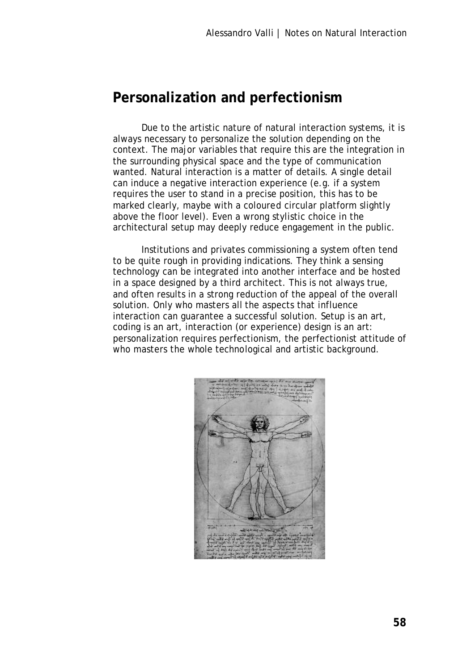# **Personalization and perfectionism**

Due to the artistic nature of natural interaction systems, it is always necessary to personalize the solution depending on the context. The major variables that require this are the integration in the surrounding physical space and the type of communication wanted. Natural interaction is a matter of details. A single detail can induce a negative interaction experience (e.g. if a system requires the user to stand in a precise position, this has to be marked clearly, maybe with a coloured circular platform slightly above the floor level). Even a wrong stylistic choice in the architectural setup may deeply reduce engagement in the public.

Institutions and privates commissioning a system often tend to be quite rough in providing indications. They think a sensing technology can be integrated into another interface and be hosted in a space designed by a third architect. This is not always true, and often results in a strong reduction of the appeal of the overall solution. Only who masters all the aspects that influence interaction can guarantee a successful solution. Setup is an art, coding is an art, interaction (or experience) design is an art: personalization requires perfectionism, the perfectionist attitude of who masters the whole technological and artistic background.

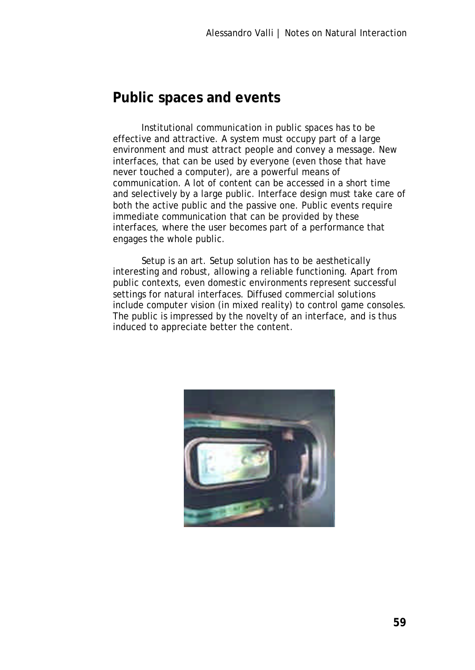## **Public spaces and events**

Institutional communication in public spaces has to be effective and attractive. A system must occupy part of a large environment and must attract people and convey a message. New interfaces, that can be used by everyone (even those that have never touched a computer), are a powerful means of communication. A lot of content can be accessed in a short time and selectively by a large public. Interface design must take care of both the active public and the passive one. Public events require immediate communication that can be provided by these interfaces, where the user becomes part of a performance that engages the whole public.

Setup is an art. Setup solution has to be aesthetically interesting and robust, allowing a reliable functioning. Apart from public contexts, even domestic environments represent successful settings for natural interfaces. Diffused commercial solutions include computer vision (in mixed reality) to control game consoles. The public is impressed by the novelty of an interface, and is thus induced to appreciate better the content.

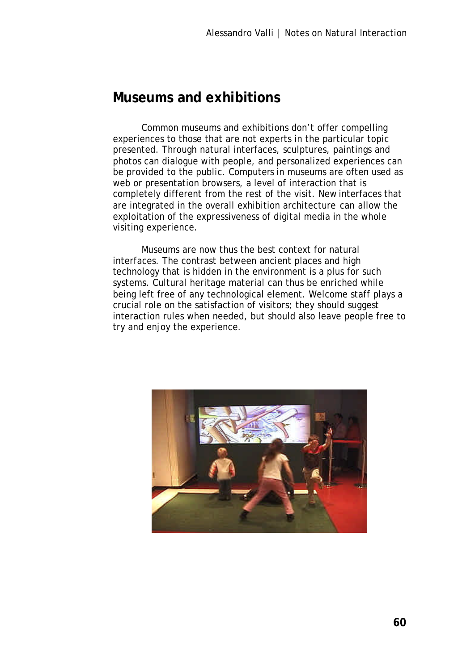## **Museums and exhibitions**

Common museums and exhibitions don't offer compelling experiences to those that are not experts in the particular topic presented. Through natural interfaces, sculptures, paintings and photos can dialogue with people, and personalized experiences can be provided to the public. Computers in museums are often used as web or presentation browsers, a level of interaction that is completely different from the rest of the visit. New interfaces that are integrated in the overall exhibition architecture can allow the exploitation of the expressiveness of digital media in the whole visiting experience.

Museums are now thus the best context for natural interfaces. The contrast between ancient places and high technology that is hidden in the environment is a plus for such systems. Cultural heritage material can thus be enriched while being left free of any technological element. Welcome staff plays a crucial role on the satisfaction of visitors; they should suggest interaction rules when needed, but should also leave people free to try and enjoy the experience.

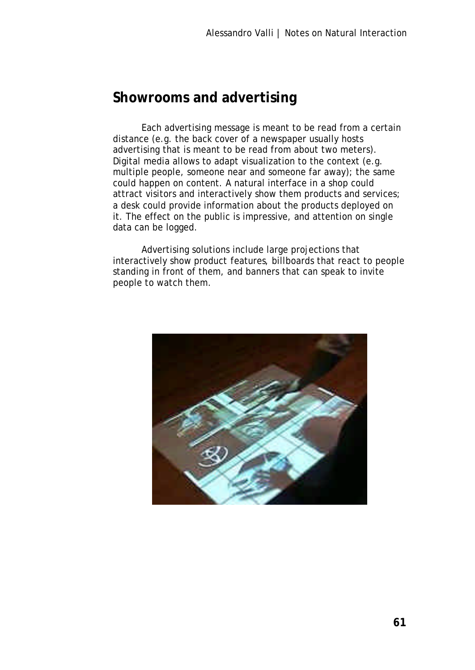# **Showrooms and advertising**

Each advertising message is meant to be read from a certain distance (e.g. the back cover of a newspaper usually hosts advertising that is meant to be read from about two meters). Digital media allows to adapt visualization to the context (e.g. multiple people, someone near and someone far away); the same could happen on content. A natural interface in a shop could attract visitors and interactively show them products and services; a desk could provide information about the products deployed on it. The effect on the public is impressive, and attention on single data can be logged.

Advertising solutions include large projections that interactively show product features, billboards that react to people standing in front of them, and banners that can speak to invite people to watch them.

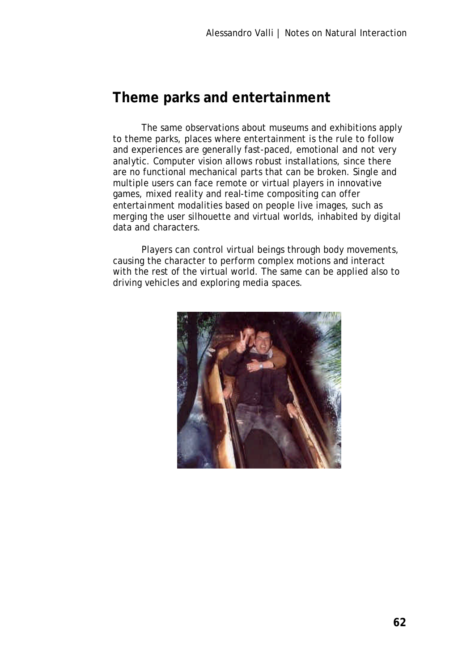## **Theme parks and entertainment**

The same observations about museums and exhibitions apply to theme parks, places where entertainment is the rule to follow and experiences are generally fast-paced, emotional and not very analytic. Computer vision allows robust installations, since there are no functional mechanical parts that can be broken. Single and multiple users can face remote or virtual players in innovative games, mixed reality and real-time compositing can offer entertainment modalities based on people live images, such as merging the user silhouette and virtual worlds, inhabited by digital data and characters.

Players can control virtual beings through body movements, causing the character to perform complex motions and interact with the rest of the virtual world. The same can be applied also to driving vehicles and exploring media spaces.

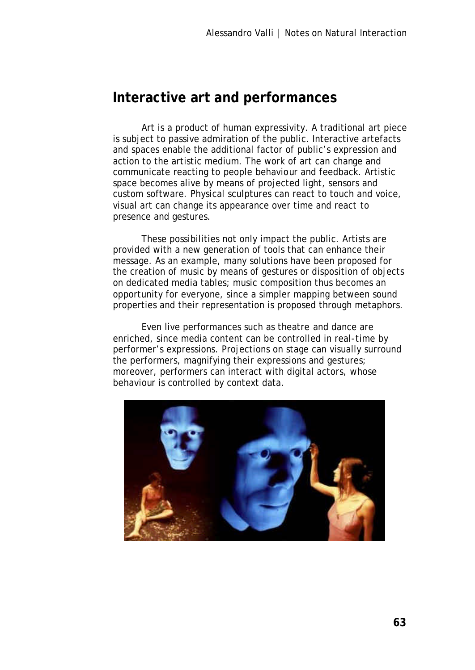### **Interactive art and performances**

Art is a product of human expressivity. A traditional art piece is subject to passive admiration of the public. Interactive artefacts and spaces enable the additional factor of public's expression and action to the artistic medium. The work of art can change and communicate reacting to people behaviour and feedback. Artistic space becomes alive by means of projected light, sensors and custom software. Physical sculptures can react to touch and voice, visual art can change its appearance over time and react to presence and gestures.

These possibilities not only impact the public. Artists are provided with a new generation of tools that can enhance their message. As an example, many solutions have been proposed for the creation of music by means of gestures or disposition of objects on dedicated media tables; music composition thus becomes an opportunity for everyone, since a simpler mapping between sound properties and their representation is proposed through metaphors.

Even live performances such as theatre and dance are enriched, since media content can be controlled in real-time by performer's expressions. Projections on stage can visually surround the performers, magnifying their expressions and gestures; moreover, performers can interact with digital actors, whose behaviour is controlled by context data.

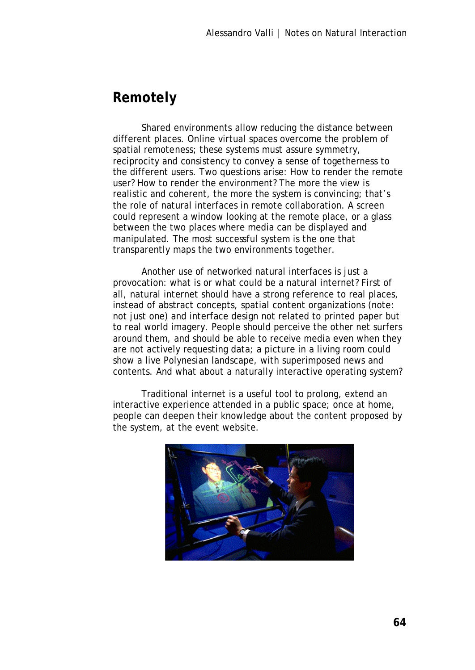# **Remotely**

Shared environments allow reducing the distance between different places. Online virtual spaces overcome the problem of spatial remoteness; these systems must assure symmetry, reciprocity and consistency to convey a sense of togetherness to the different users. Two questions arise: How to render the remote user? How to render the environment? The more the view is realistic and coherent, the more the system is convincing; that's the role of natural interfaces in remote collaboration. A screen could represent a window looking at the remote place, or a glass between the two places where media can be displayed and manipulated. The most successful system is the one that transparently maps the two environments together.

Another use of networked natural interfaces is just a provocation: what is or what could be a natural internet? First of all, natural internet should have a strong reference to real places, instead of abstract concepts, spatial content organizations (note: not just one) and interface design not related to printed paper but to real world imagery. People should perceive the other net surfers around them, and should be able to receive media even when they are not actively requesting data; a picture in a living room could show a live Polynesian landscape, with superimposed news and contents. And what about a naturally interactive operating system?

Traditional internet is a useful tool to prolong, extend an interactive experience attended in a public space; once at home, people can deepen their knowledge about the content proposed by the system, at the event website.

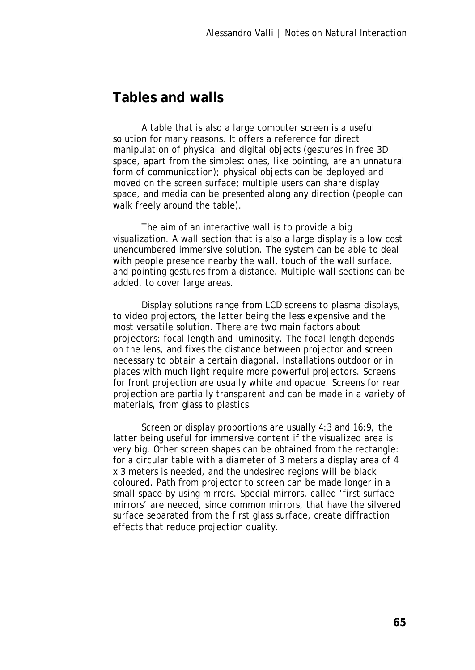# **Tables and walls**

A table that is also a large computer screen is a useful solution for many reasons. It offers a reference for direct manipulation of physical and digital objects (gestures in free 3D space, apart from the simplest ones, like pointing, are an unnatural form of communication); physical objects can be deployed and moved on the screen surface; multiple users can share display space, and media can be presented along any direction (people can walk freely around the table).

The aim of an interactive wall is to provide a big visualization. A wall section that is also a large display is a low cost unencumbered immersive solution. The system can be able to deal with people presence nearby the wall, touch of the wall surface, and pointing gestures from a distance. Multiple wall sections can be added, to cover large areas.

Display solutions range from LCD screens to plasma displays, to video projectors, the latter being the less expensive and the most versatile solution. There are two main factors about projectors: focal length and luminosity. The focal length depends on the lens, and fixes the distance between projector and screen necessary to obtain a certain diagonal. Installations outdoor or in places with much light require more powerful projectors. Screens for front projection are usually white and opaque. Screens for rear projection are partially transparent and can be made in a variety of materials, from glass to plastics.

Screen or display proportions are usually 4:3 and 16:9, the latter being useful for immersive content if the visualized area is very big. Other screen shapes can be obtained from the rectangle: for a circular table with a diameter of 3 meters a display area of 4 x 3 meters is needed, and the undesired regions will be black coloured. Path from projector to screen can be made longer in a small space by using mirrors. Special mirrors, called 'first surface mirrors' are needed, since common mirrors, that have the silvered surface separated from the first glass surface, create diffraction effects that reduce projection quality.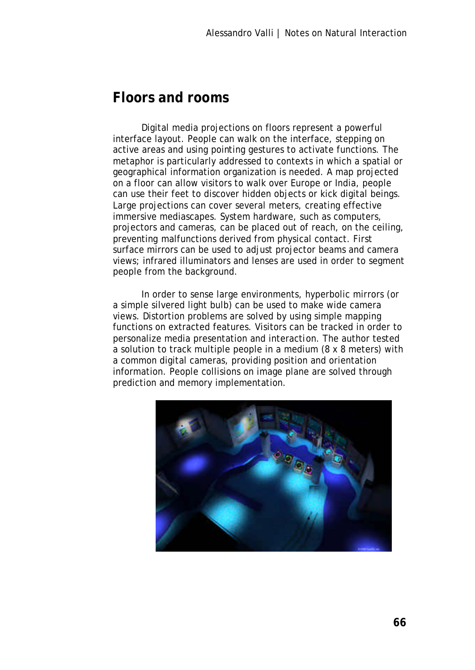# **Floors and rooms**

Digital media projections on floors represent a powerful interface layout. People can walk on the interface, stepping on active areas and using pointing gestures to activate functions. The metaphor is particularly addressed to contexts in which a spatial or geographical information organization is needed. A map projected on a floor can allow visitors to walk over Europe or India, people can use their feet to discover hidden objects or kick digital beings. Large projections can cover several meters, creating effective immersive mediascapes. System hardware, such as computers, projectors and cameras, can be placed out of reach, on the ceiling, preventing malfunctions derived from physical contact. First surface mirrors can be used to adjust projector beams and camera views; infrared illuminators and lenses are used in order to segment people from the background.

In order to sense large environments, hyperbolic mirrors (or a simple silvered light bulb) can be used to make wide camera views. Distortion problems are solved by using simple mapping functions on extracted features. Visitors can be tracked in order to personalize media presentation and interaction. The author tested a solution to track multiple people in a medium (8 x 8 meters) with a common digital cameras, providing position and orientation information. People collisions on image plane are solved through prediction and memory implementation.

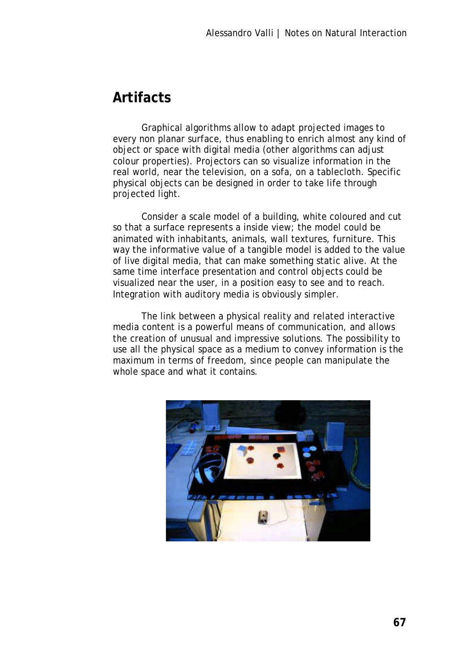# **Artifacts**

Graphical algorithms allow to adapt projected images to every non planar surface, thus enabling to enrich almost any kind of object or space with digital media (other algorithms can adjust colour properties). Projectors can so visualize information in the real world, near the television, on a sofa, on a tablecloth. Specific physical objects can be designed in order to take life through projected light.

Consider a scale model of a building, white coloured and cut so that a surface represents a inside view; the model could be animated with inhabitants, animals, wall textures, furniture. This way the informative value of a tangible model is added to the value of live digital media, that can make something static alive. At the same time interface presentation and control objects could be visualized near the user, in a position easy to see and to reach. Integration with auditory media is obviously simpler.

The link between a physical reality and related interactive media content is a powerful means of communication, and allows the creation of unusual and impressive solutions. The possibility to use all the physical space as a medium to convey information is the maximum in terms of freedom, since people can manipulate the whole space and what it contains.

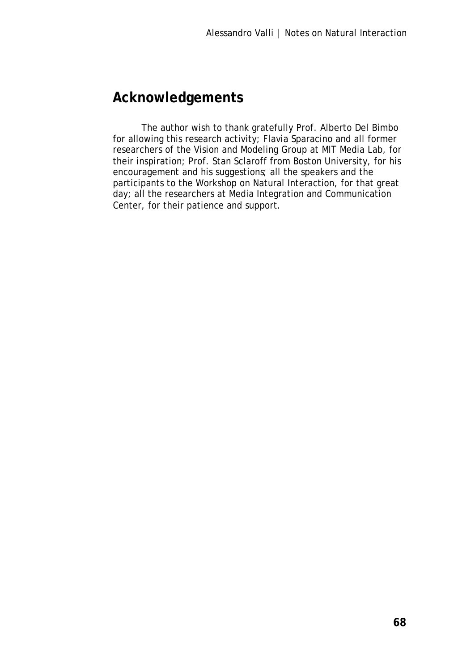# **Acknowledgements**

The author wish to thank gratefully Prof. Alberto Del Bimbo for allowing this research activity; Flavia Sparacino and all former researchers of the Vision and Modeling Group at MIT Media Lab, for their inspiration; Prof. Stan Sclaroff from Boston University, for his encouragement and his suggestions; all the speakers and the participants to the Workshop on Natural Interaction, for that great day; all the researchers at Media Integration and Communication Center, for their patience and support.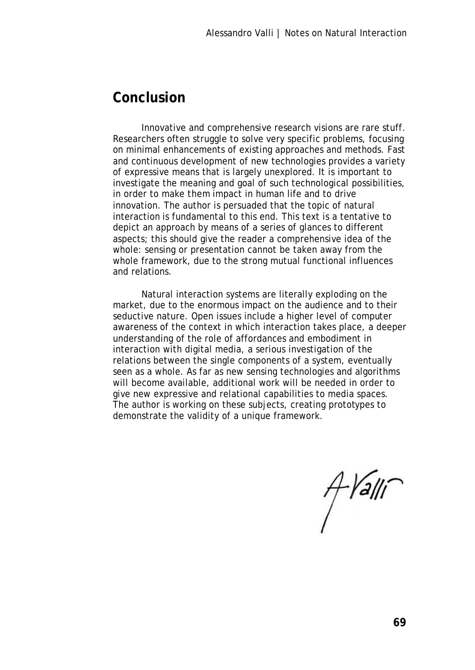### **Conclusion**

Innovative and comprehensive research visions are rare stuff. Researchers often struggle to solve very specific problems, focusing on minimal enhancements of existing approaches and methods. Fast and continuous development of new technologies provides a variety of expressive means that is largely unexplored. It is important to investigate the meaning and goal of such technological possibilities, in order to make them impact in human life and to drive innovation. The author is persuaded that the topic of natural interaction is fundamental to this end. This text is a tentative to depict an approach by means of a series of glances to different aspects; this should give the reader a comprehensive idea of the whole: sensing or presentation cannot be taken away from the whole framework, due to the strong mutual functional influences and relations.

Natural interaction systems are literally exploding on the market, due to the enormous impact on the audience and to their seductive nature. Open issues include a higher level of computer awareness of the context in which interaction takes place, a deeper understanding of the role of affordances and embodiment in interaction with digital media, a serious investigation of the relations between the single components of a system, eventually seen as a whole. As far as new sensing technologies and algorithms will become available, additional work will be needed in order to give new expressive and relational capabilities to media spaces. The author is working on these subjects, creating prototypes to demonstrate the validity of a unique framework.

 $A$ *Yalli*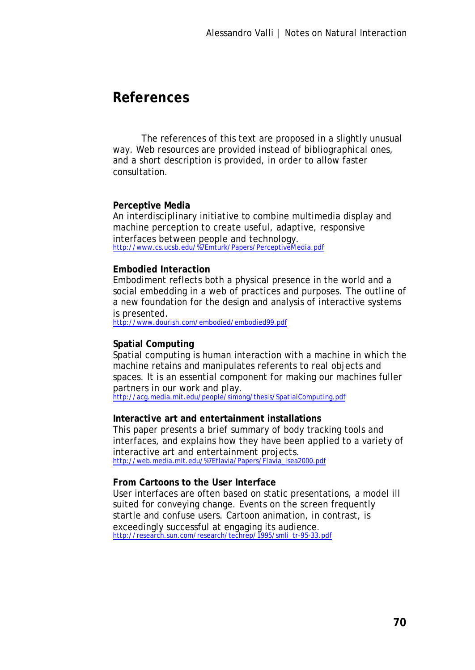### **References**

The references of this text are proposed in a slightly unusual way. Web resources are provided instead of bibliographical ones, and a short description is provided, in order to allow faster consultation.

#### **Perceptive Media**

An interdisciplinary initiative to combine multimedia display and machine perception to create useful, adaptive, responsive interfaces between people and technology. http://www.cs.ucsb.edu/%7Emturk/Papers/PerceptiveM edia.pdf

#### **Embodied Interaction**

Embodiment reflects both a physical presence in the world and a social embedding in a web of practices and purposes. The outline of a new foundation for the design and analysis of interactive systems is presented.

http://www.dourish.com/embodied/embodied99.pdf

### **Spatial Computing**

Spatial computing is human interaction with a machine in which the machine retains and manipulates referents to real objects and spaces. It is an essential component for making our machines fuller partners in our work and play.

http://acg.media.mit.edu/people/simong/thesis/SpatialComputing.pdf

#### **Interactive art and entertainment installations**

This paper presents a brief summary of body tracking tools and interfaces, and explains how they have been applied to a variety of interactive art and entertainment projects. http://web.media.mit.edu/%7Eflavia/Papers/Flavia\_isea2000.pdf

#### **From Cartoons to the User Interface**

User interfaces are often based on static presentations, a model ill suited for conveying change. Events on the screen frequently startle and confuse users. Cartoon animation, in contrast, is exceedingly successful at engaging its audience.<br>http://research.sun.com/research/techrep/1995/smli\_tr-95-33.pdf oncoodingry.com.com/research/techre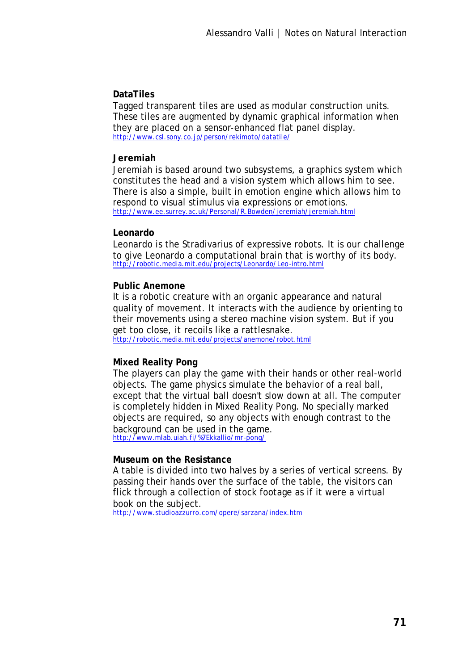### **DataTiles**

Tagged transparent tiles are used as modular construction units. These tiles are augmented by dynamic graphical information when they are placed on a sensor-enhanced flat panel display. http://www.csl.sony.co.jp/person/rekimoto/datatile/

#### **Jeremiah**

Jeremiah is based around two subsystems, a graphics system which constitutes the head and a vision system which allows him to see. There is also a simple, built in emotion engine which allows him to respond to visual stimulus via expressions or emotions. http://www.ee.surrey.ac.uk/Personal/R.Bowden/jeremiah/jeremiah.html

#### **Leonardo**

Leonardo is the Stradivarius of expressive robots. It is our challenge to give Leonardo a computational brain that is worthy of its body. http://robotic.media.mit.edu/projects/Leonardo/Leo-intro.html

#### **Public Anemone**

It is a robotic creature with an organic appearance and natural quality of movement. It interacts with the audience by orienting to their movements using a stereo machine vision system. But if you get too close, it recoils like a rattlesnake. http://robotic.media.mit.edu/projects/anemone/robot.html

### **Mixed Reality Pong**

The players can play the game with their hands or other real-world objects. The game physics simulate the behavior of a real ball, except that the virtual ball doesn't slow down at all. The computer is completely hidden in Mixed Reality Pong. No specially marked objects are required, so any objects with enough contrast to the background can be used in the game. http://www.mlab.uiah.fi/%7Ekkallio/mr-pong/

#### **Museum on the Resistance**

A table is divided into two halves by a series of vertical screens. By passing their hands over the surface of the table, the visitors can flick through a collection of stock footage as if it were a virtual book on the subject.

http://www.studioazzurro.com/opere/sarzana/index.htm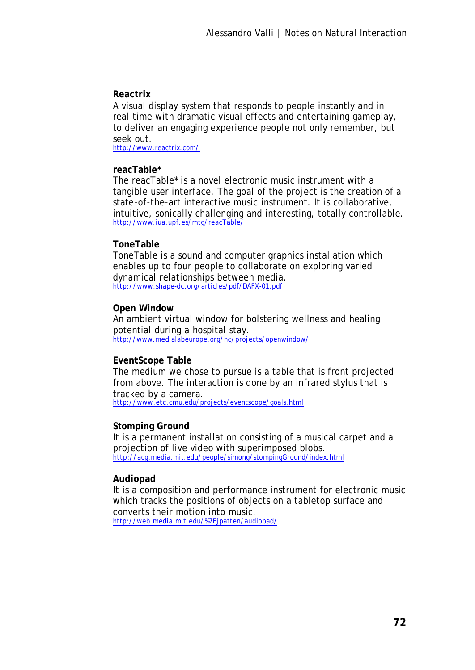#### **Reactrix**

A visual display system that responds to people instantly and in real-time with dramatic visual effects and entertaining gameplay, to deliver an engaging experience people not only remember, but seek out.

http://www.reactrix.com/

#### **reacTable\***

The reacTable\* is a novel electronic music instrument with a tangible user interface. The goal of the project is the creation of a state-of-the-art interactive music instrument. It is collaborative, intuitive, sonically challenging and interesting, totally controllable. http://www.iua.upf.es/mtg/reacTable/

#### **ToneTable**

ToneTable is a sound and computer graphics installation which enables up to four people to collaborate on exploring varied dynamical relationships between media. http://www.shape-dc.org/articles/pdf/DAFX-01.pdf

#### **Open Window**

An ambient virtual window for bolstering wellness and healing potential during a hospital stay. http://www.medialabeurope.org/hc/projects/openwindow/

### **EventScope Table**

The medium we chose to pursue is a table that is front projected from above. The interaction is done by an infrared stylus that is tracked by a camera. http://www.etc.cmu.edu/projects/eventscope/goals.html

#### **Stomping Ground**

It is a permanent installation consisting of a musical carpet and a projection of live video with superimposed blobs. http://acg.media.mit.edu/people/simong/stompingGround/index.html

#### **Audiopad**

It is a composition and performance instrument for electronic music which tracks the positions of objects on a tabletop surface and converts their motion into music. http://web.media.mit.edu/%7Ejpatten/audiopad/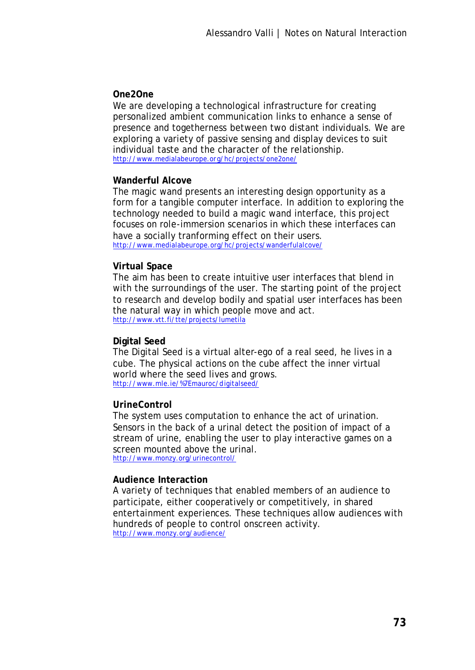#### **One2One**

We are developing a technological infrastructure for creating personalized ambient communication links to enhance a sense of presence and togetherness between two distant individuals. We are exploring a variety of passive sensing and display devices to suit individual taste and the character of the relationship. http://www.medialabeurope.org/hc/projects/one2one/

#### **Wanderful Alcove**

The magic wand presents an interesting design opportunity as a form for a tangible computer interface. In addition to exploring the technology needed to build a magic wand interface, this project focuses on role-immersion scenarios in which these interfaces can have a socially tranforming effect on their users. http://www.medialabeurope.org/hc/projects/wanderfulalcove/

#### **Virtual Space**

The aim has been to create intuitive user interfaces that blend in with the surroundings of the user. The starting point of the project to research and develop bodily and spatial user interfaces has been the natural way in which people move and act. http://www.vtt.fi/tte/projects/lumetila

## **Digital Seed**

The Digital Seed is a virtual alter-ego of a real seed, he lives in a cube. The physical actions on the cube affect the inner virtual world where the seed lives and grows. http://www.mle.ie/%7Emauroc/digitalseed/

## **UrineControl**

The system uses computation to enhance the act of urination. Sensors in the back of a urinal detect the position of impact of a stream of urine, enabling the user to play interactive games on a screen mounted above the urinal. http://www.monzy.org/urinecontrol/

#### **Audience Interaction**

A variety of techniques that enabled members of an audience to participate, either cooperatively or competitively, in shared entertainment experiences. These techniques allow audiences with hundreds of people to control onscreen activity. http://www.monzy.org/audience/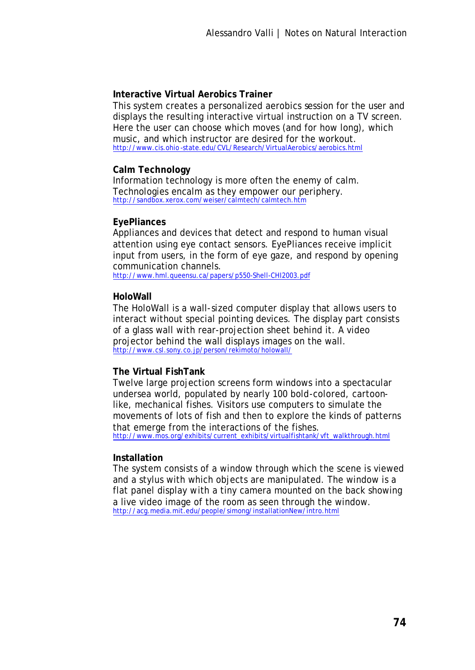# **Interactive Virtual Aerobics Trainer**

This system creates a personalized aerobics session for the user and displays the resulting interactive virtual instruction on a TV screen. Here the user can choose which moves (and for how long), which music, and which instructor are desired for the workout. http://www.cis.ohio -state.edu/CVL/Research/VirtualAerobics/aerobics.html

#### **Calm Technology**

Information technology is more often the enemy of calm. Technologies encalm as they empower our periphery. http://sandbox.xerox.com/weiser/calmtech/calmtech.htm

#### **EyePliances**

Appliances and devices that detect and respond to human visual attention using eye contact sensors. EyePliances receive implicit input from users, in the form of eye gaze, and respond by opening communication channels.

http://www.hml.queensu.ca/papers/p550-Shell-CHI2003.pdf

#### **HoloWall**

The HoloWall is a wall-sized computer display that allows users to interact without special pointing devices. The display part consists of a glass wall with rear-projection sheet behind it. A video projector behind the wall displays images on the wall. http://www.csl.sony.co.jp/person/rekimoto/holowall/

## **The Virtual FishTank**

Twelve large projection screens form windows into a spectacular undersea world, populated by nearly 100 bold-colored, cartoonlike, mechanical fishes. Visitors use computers to simulate the movements of lots of fish and then to explore the kinds of patterns that emerge from the interactions of the fishes. http://www.mos.org/exhibits/current\_exhibits/virtualfishtank/vft\_walkthrough.html

#### **Installation**

The system consists of a window through which the scene is viewed and a stylus with which objects are manipulated. The window is a flat panel display with a tiny camera mounted on the back showing a live video image of the room as seen through the window. http://acg.media.mit.edu/people/simong/installationNew/intro.html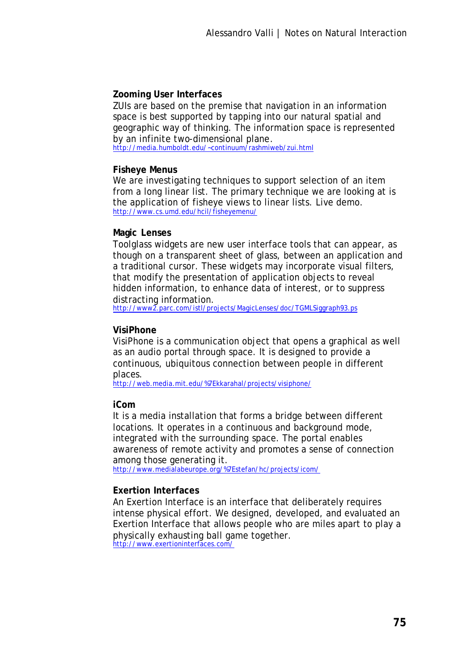# **Zooming User Interfaces**

ZUIs are based on the premise that navigation in an information space is best supported by tapping into our natural spatial and geographic way of thinking. The information space is represented by an infinite two-dimensional plane.

http://media.humboldt.edu/~continuum/rashmiweb/zui.html

#### **Fisheye Menus**

We are investigating techniques to support selection of an item from a long linear list. The primary technique we are looking at is the application of fisheye views to linear lists. Live demo. http://www.cs.umd.edu/hcil/fisheyemenu/

#### **Magic Lenses**

Toolglass widgets are new user interface tools that can appear, as though on a transparent sheet of glass, between an application and a traditional cursor. These widgets may incorporate visual filters, that modify the presentation of application objects to reveal hidden information, to enhance data of interest, or to suppress distracting information.

http://www2.parc.com/istl/projects/MagicLenses/doc/TGMLSiggraph93.ps

## **VisiPhone**

VisiPhone is a communication object that opens a graphical as well as an audio portal through space. It is designed to provide a continuous, ubiquitous connection between people in different places.

http://web.media.mit.edu/%7Ekkarahal/projects/visiphone/

#### **iCom**

It is a media installation that forms a bridge between different locations. It operates in a continuous and background mode, integrated with the surrounding space. The portal enables awareness of remote activity and promotes a sense of connection among those generating it.

http://www.medialabeurope.org/%7Estefan/hc/projects/icom/

#### **Exertion Interfaces**

An Exertion Interface is an interface that deliberately requires intense physical effort. We designed, developed, and evaluated an Exertion Interface that allows people who are miles apart to play a physically exhausting ball game together. http://www.exertioninterfaces.com/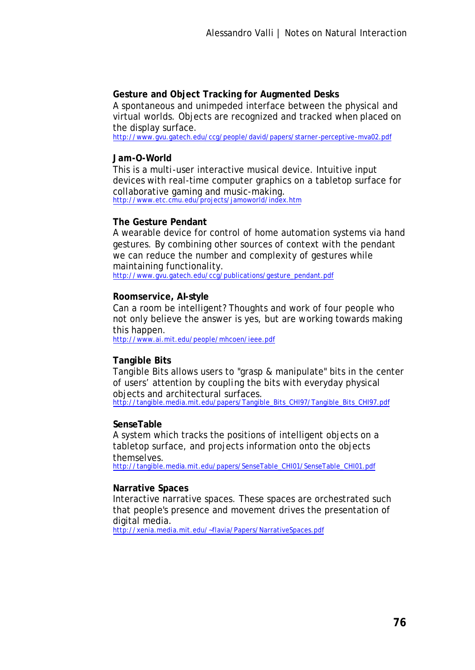# **Gesture and Object Tracking for Augmented Desks**

A spontaneous and unimpeded interface between the physical and virtual worlds. Objects are recognized and tracked when placed on the display surface.

http://www.gvu.gatech.edu/ccg/people/david/papers/starner-perceptive-mva02.pdf

## **Jam-O-World**

This is a multi-user interactive musical device. Intuitive input devices with real-time computer graphics on a tabletop surface for collaborative gaming and music-making. http://www.etc.cmu.edu/projects/jamoworld/index.htm

#### **The Gesture Pendant**

A wearable device for control of home automation systems via hand gestures. By combining other sources of context with the pendant we can reduce the number and complexity of gestures while maintaining functionality.

http://www.gvu.gatech.edu/ccg/publications/gesture\_pendant.pdf

#### **Roomservice, AI-style**

Can a room be intelligent? Thoughts and work of four people who not only believe the answer is yes, but are working towards making this happen.

http://www.ai.mit.edu/people/mhcoen/ieee.pdf

## **Tangible Bits**

Tangible Bits allows users to "grasp & manipulate" bits in the center of users' attention by coupling the bits with everyday physical objects and architectural surfaces. http://tangible.media.mit.edu/papers/Tangible\_Bits\_CHI97/Tangible\_Bits\_CHI97.pdf

#### **SenseTable**

A system which tracks the positions of intelligent objects on a tabletop surface, and projects information onto the objects themselves.

http://tangible.media.mit.edu/papers/SenseTable\_CHI01/SenseTable\_CHI01.pdf

## **Narrative Spaces**

Interactive narrative spaces. These spaces are orchestrated such that people's presence and movement drives the presentation of digital media.

http://xenia.media.mit.edu/~flavia/Papers/NarrativeSpaces.pdf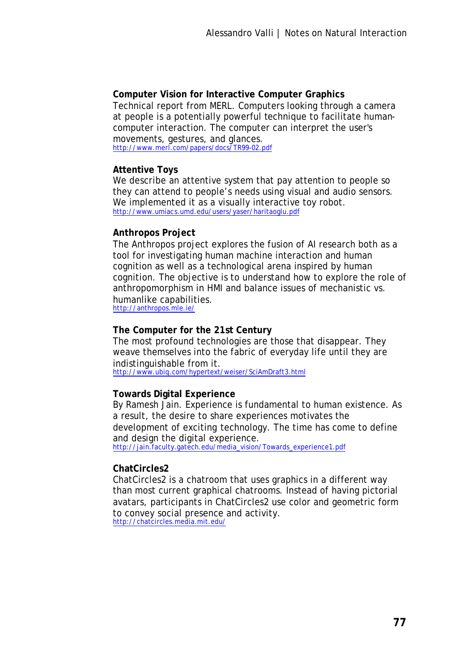## **Computer Vision for Interactive Computer Graphics**

Technical report from MERL. Computers looking through a camera at people is a potentially powerful technique to facilitate humancomputer interaction. The computer can interpret the user's movements, gestures, and glances. http://www.merl.com/papers/docs/TR99-02.pdf

#### **Attentive Toys**

We describe an attentive system that pay attention to people so they can attend to people's needs using visual and audio sensors. We implemented it as a visually interactive toy robot. http://www.umiacs.umd.edu/users/yaser/haritaoglu.pdf

## **Anthropos Project**

The Anthropos project explores the fusion of AI research both as a tool for investigating human machine interaction and human cognition as well as a technological arena inspired by human cognition. The objective is to understand how to explore the role of anthropomorphism in HMI and balance issues of mechanistic vs. humanlike capabilities.

http://anthropos.mle.ie/

## **The Computer for the 21st Century**

The most profound technologies are those that disappear. They weave themselves into the fabric of everyday life until they are indistinguishable from it. http://www.ubiq.com/hypertext/weiser/SciAmDraft3.html

## **Towards Digital Experience**

By Ramesh Jain. Experience is fundamental to human existence. As a result, the desire to share experiences motivates the development of exciting technology. The time has come to define and design the digital experience. http://jain.faculty.gatech.edu/media\_vision/Towards\_experience1.pdf

## **ChatCircles2**

ChatCircles2 is a chatroom that uses graphics in a different way than most current graphical chatrooms. Instead of having pictorial avatars, participants in ChatCircles2 use color and geometric form to convey social presence and activity. http://chatcircles.media.mit.edu/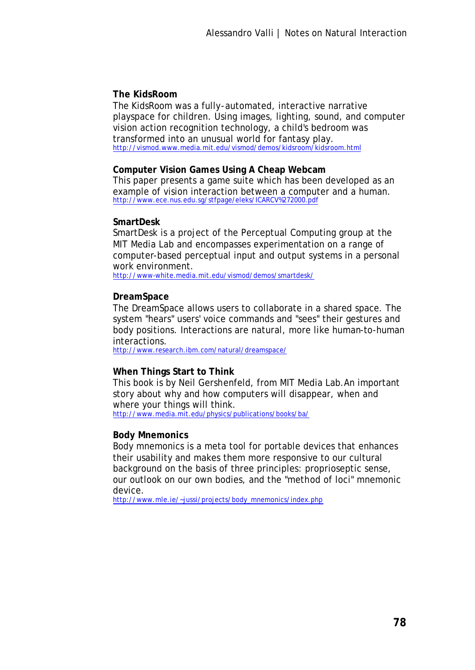# **The KidsRoom**

The KidsRoom was a fully-automated, interactive narrative playspace for children. Using images, lighting, sound, and computer vision action recognition technology, a child's bedroom was transformed into an unusual world for fantasy play. http://vismod.www.media.mit.edu/vismod/demos/kidsroom/kidsroom.html

## **Computer Vision Games Using A Cheap Webcam**

This paper presents a game suite which has been developed as an example of vision interaction between a computer and a human. http://www.ece.nus.edu.sg/stfpage/eleks/ICARCV%272000.pdf

#### **SmartDesk**

SmartDesk is a project of the Perceptual Computing group at the MIT Media Lab and encompasses experimentation on a range of computer-based perceptual input and output systems in a personal work environment.

http://www-white.media.mit.edu/vismod/demos/smartdesk/

#### **DreamSpace**

The DreamSpace allows users to collaborate in a shared space. The system "hears" users' voice commands and "sees" their gestures and body positions. Interactions are natural, more like human-to-human interactions.

http://www.research.ibm.com/natural/dreamspace/

## **When Things Start to Think**

This book is by Neil Gershenfeld, from MIT Media Lab.An important story about why and how computers will disappear, when and where your things will think.

http://www.media.mit.edu/physics/publications/books/ba/

## **Body Mnemonics**

Body mnemonics is a meta tool for portable devices that enhances their usability and makes them more responsive to our cultural background on the basis of three principles: proprioseptic sense, our outlook on our own bodies, and the "method of loci" mnemonic device.

http://www.mle.ie/~jussi/projects/body\_mnemonics/index.php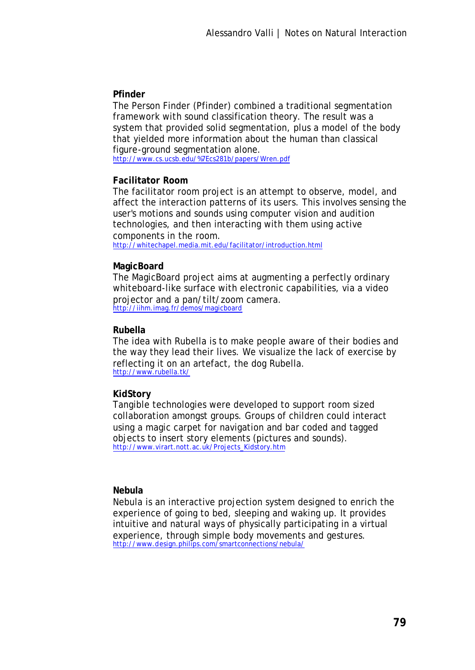# **Pfinder**

The Person Finder (Pfinder) combined a traditional segmentation framework with sound classification theory. The result was a system that provided solid segmentation, plus a model of the body that yielded more information about the human than classical figure-ground segmentation alone.

http://www.cs.ucsb.edu/%7Ecs281b/papers/Wren.pdf

# **Facilitator Room**

The facilitator room project is an attempt to observe, model, and affect the interaction patterns of its users. This involves sensing the user's motions and sounds using computer vision and audition technologies, and then interacting with them using active components in the room.

http://whitechapel.media.mit.edu/facilitator/introduction.html

# **MagicBoard**

The MagicBoard project aims at augmenting a perfectly ordinary whiteboard-like surface with electronic capabilities, via a video projector and a pan/tilt/zoom camera. http://iihm.imag.fr/demos/magicboard

# **Rubella**

The idea with Rubella is to make people aware of their bodies and the way they lead their lives. We visualize the lack of exercise by reflecting it on an artefact, the dog Rubella. http://www.rubella.tk/

# **KidStory**

Tangible technologies were developed to support room sized collaboration amongst groups. Groups of children could interact using a magic carpet for navigation and bar coded and tagged objects to insert story elements (pictures and sounds). http://www.virart.nott.ac.uk/Projects\_Kidstory.htm

## **Nebula**

Nebula is an interactive projection system designed to enrich the experience of going to bed, sleeping and waking up. It provides intuitive and natural ways of physically participating in a virtual experience, through simple body movements and gestures. http://www.design.philips.com/smartconnections/nebula/